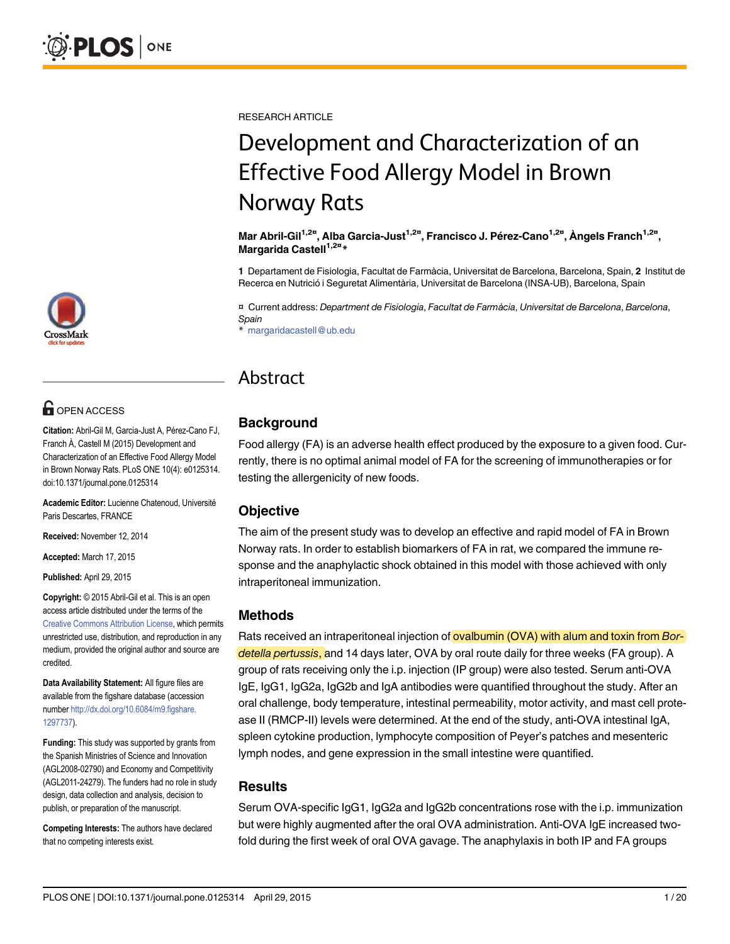# **G** OPEN ACCESS

Citation: Abril-Gil M, Garcia-Just A, Pérez-Cano FJ, Franch À, Castell M (2015) Development and Characterization of an Effective Food Allergy Model in Brown Norway Rats. PLoS ONE 10(4): e0125314. doi:10.1371/journal.pone.0125314

Academic Editor: Lucienne Chatenoud, Université Paris Descartes, FRANCE

Received: November 12, 2014

Accepted: March 17, 2015

Published: April 29, 2015

Copyright: © 2015 Abril-Gil et al. This is an open access article distributed under the terms of the [Creative Commons Attribution License,](http://creativecommons.org/licenses/by/4.0/) which permits unrestricted use, distribution, and reproduction in any medium, provided the original author and source are credited.

Data Availability Statement: All figure files are available from the figshare database (accession number [http://dx.doi.org/10.6084/m9.figshare.](http://dx.doi.org/10.6084/m9.figshare.1297737) [1297737\)](http://dx.doi.org/10.6084/m9.figshare.1297737).

Funding: This study was supported by grants from the Spanish Ministries of Science and Innovation (AGL2008-02790) and Economy and Competitivity (AGL2011-24279). The funders had no role in study design, data collection and analysis, decision to publish, or preparation of the manuscript.

Competing Interests: The authors have declared that no competing interests exist.

RESEARCH ARTICLE

# Development and Characterization of an Effective Food Allergy Model in Brown Norway Rats

Mar Abril-Gil<sup>1,2¤</sup>, Alba Garcia-Just<sup>1,2¤</sup>, Francisco J. Pérez-Cano<sup>1,2¤</sup>, Àngels Franch<sup>1,2¤</sup>, Margarida Castell<sup>1,2¤</sup>\*

1 Departament de Fisiologia, Facultat de Farmàcia, Universitat de Barcelona, Barcelona, Spain, 2 Institut de Recerca en Nutrició i Seguretat Alimentària, Universitat de Barcelona (INSA-UB), Barcelona, Spain

¤ Current address: Department de Fisiologia, Facultat de Farmàcia, Universitat de Barcelona, Barcelona, **Spain** 

\* margaridacastell@ub.edu

# Abstract

# Background

Food allergy (FA) is an adverse health effect produced by the exposure to a given food. Currently, there is no optimal animal model of FA for the screening of immunotherapies or for testing the allergenicity of new foods.

## **Objective**

The aim of the present study was to develop an effective and rapid model of FA in Brown Norway rats. In order to establish biomarkers of FA in rat, we compared the immune response and the anaphylactic shock obtained in this model with those achieved with only intraperitoneal immunization.

## Methods

Rats received an intraperitoneal injection of ovalbumin (OVA) with alum and toxin from Bordetella pertussis, and 14 days later, OVA by oral route daily for three weeks (FA group). A group of rats receiving only the i.p. injection (IP group) were also tested. Serum anti-OVA IgE, IgG1, IgG2a, IgG2b and IgA antibodies were quantified throughout the study. After an oral challenge, body temperature, intestinal permeability, motor activity, and mast cell protease II (RMCP-II) levels were determined. At the end of the study, anti-OVA intestinal IgA, spleen cytokine production, lymphocyte composition of Peyer's patches and mesenteric lymph nodes, and gene expression in the small intestine were quantified.

## **Results**

Serum OVA-specific IgG1, IgG2a and IgG2b concentrations rose with the i.p. immunization but were highly augmented after the oral OVA administration. Anti-OVA IgE increased twofold during the first week of oral OVA gavage. The anaphylaxis in both IP and FA groups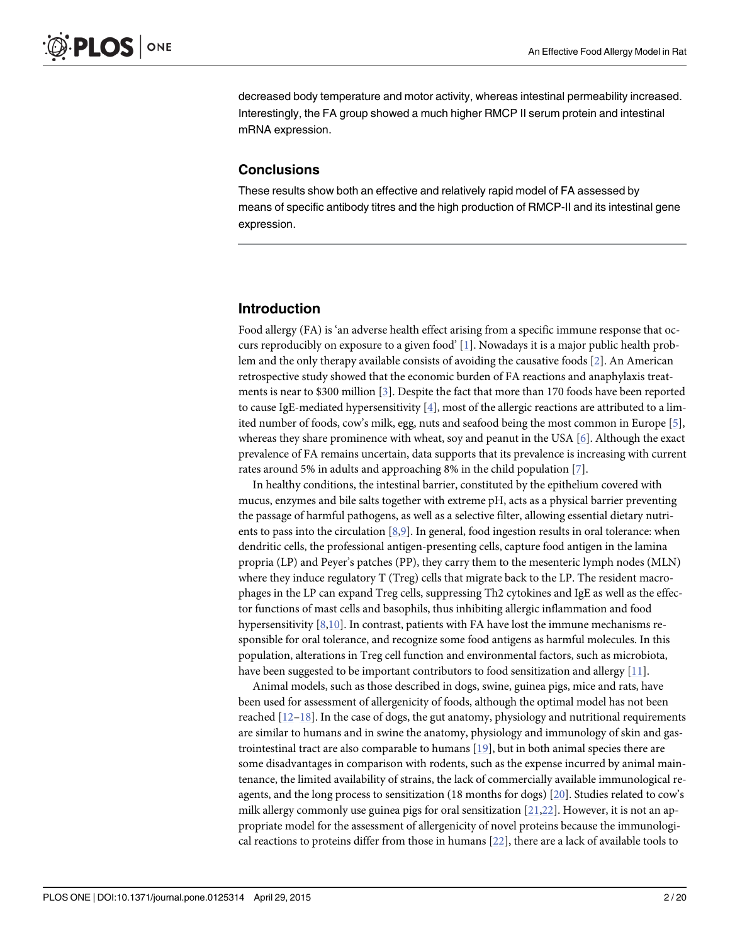<span id="page-1-0"></span>decreased body temperature and motor activity, whereas intestinal permeability increased. Interestingly, the FA group showed a much higher RMCP II serum protein and intestinal mRNA expression.

#### **Conclusions**

These results show both an effective and relatively rapid model of FA assessed by means of specific antibody titres and the high production of RMCP-II and its intestinal gene expression.

#### Introduction

Food allergy (FA) is 'an adverse health effect arising from a specific immune response that occurs reproducibly on exposure to a given food' [[1\]](#page-15-0). Nowadays it is a major public health problem and the only therapy available consists of avoiding the causative foods [[2](#page-15-0)]. An American retrospective study showed that the economic burden of FA reactions and anaphylaxis treatments is near to \$300 million [[3\]](#page-15-0). Despite the fact that more than 170 foods have been reported to cause IgE-mediated hypersensitivity  $[4]$  $[4]$  $[4]$ , most of the allergic reactions are attributed to a limited number of foods, cow's milk, egg, nuts and seafood being the most common in Europe  $[5]$  $[5]$ , whereas they share prominence with wheat, soy and peanut in the USA [[6\]](#page-15-0). Although the exact prevalence of FA remains uncertain, data supports that its prevalence is increasing with current rates around 5% in adults and approaching 8% in the child population  $[7]$ .

In healthy conditions, the intestinal barrier, constituted by the epithelium covered with mucus, enzymes and bile salts together with extreme pH, acts as a physical barrier preventing the passage of harmful pathogens, as well as a selective filter, allowing essential dietary nutrients to pass into the circulation  $[8,9]$ . In general, food ingestion results in oral tolerance: when dendritic cells, the professional antigen-presenting cells, capture food antigen in the lamina propria (LP) and Peyer's patches (PP), they carry them to the mesenteric lymph nodes (MLN) where they induce regulatory T (Treg) cells that migrate back to the LP. The resident macrophages in the LP can expand Treg cells, suppressing Th2 cytokines and IgE as well as the effector functions of mast cells and basophils, thus inhibiting allergic inflammation and food hypersensitivity [\[8,10](#page-16-0)]. In contrast, patients with FA have lost the immune mechanisms responsible for oral tolerance, and recognize some food antigens as harmful molecules. In this population, alterations in Treg cell function and environmental factors, such as microbiota, have been suggested to be important contributors to food sensitization and allergy [[11](#page-16-0)].

Animal models, such as those described in dogs, swine, guinea pigs, mice and rats, have been used for assessment of allergenicity of foods, although the optimal model has not been reached  $[12-18]$  $[12-18]$  $[12-18]$  $[12-18]$  $[12-18]$ . In the case of dogs, the gut anatomy, physiology and nutritional requirements are similar to humans and in swine the anatomy, physiology and immunology of skin and gastrointestinal tract are also comparable to humans [\[19\]](#page-16-0), but in both animal species there are some disadvantages in comparison with rodents, such as the expense incurred by animal maintenance, the limited availability of strains, the lack of commercially available immunological reagents, and the long process to sensitization (18 months for dogs) [\[20](#page-16-0)]. Studies related to cow's milk allergy commonly use guinea pigs for oral sensitization  $[21,22]$  $[21,22]$ . However, it is not an appropriate model for the assessment of allergenicity of novel proteins because the immunological reactions to proteins differ from those in humans  $[22]$  $[22]$  $[22]$ , there are a lack of available tools to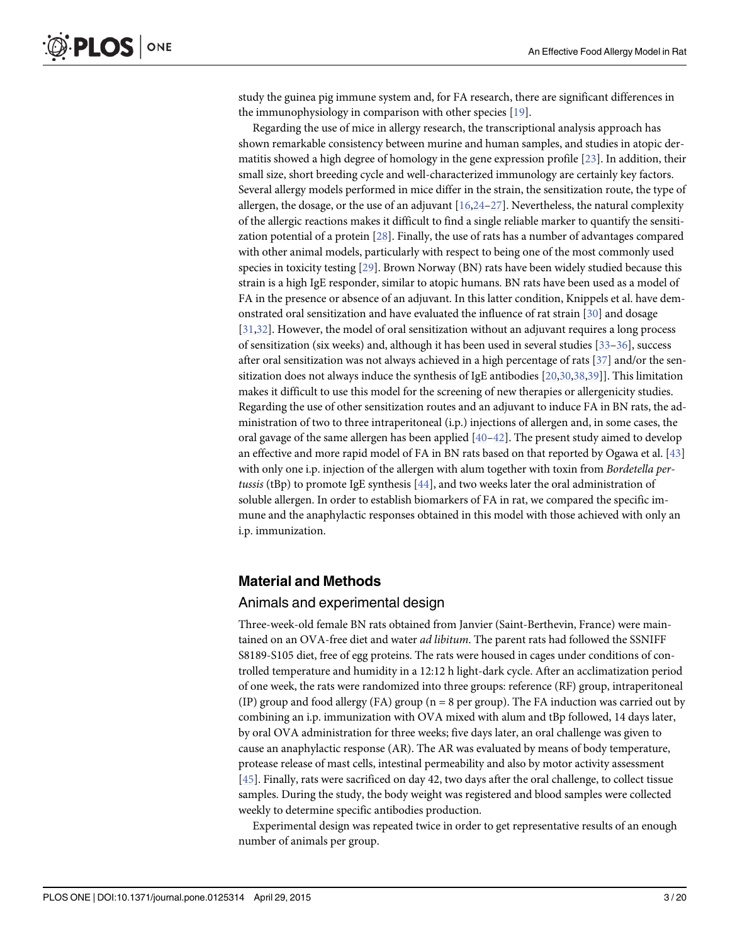<span id="page-2-0"></span>study the guinea pig immune system and, for FA research, there are significant differences in the immunophysiology in comparison with other species [[19](#page-16-0)].

Regarding the use of mice in allergy research, the transcriptional analysis approach has shown remarkable consistency between murine and human samples, and studies in atopic dermatitis showed a high degree of homology in the gene expression profile [[23](#page-16-0)]. In addition, their small size, short breeding cycle and well-characterized immunology are certainly key factors. Several allergy models performed in mice differ in the strain, the sensitization route, the type of allergen, the dosage, or the use of an adjuvant  $[16,24–27]$  $[16,24–27]$  $[16,24–27]$  $[16,24–27]$ . Nevertheless, the natural complexity of the allergic reactions makes it difficult to find a single reliable marker to quantify the sensitization potential of a protein [[28](#page-16-0)]. Finally, the use of rats has a number of advantages compared with other animal models, particularly with respect to being one of the most commonly used species in toxicity testing  $[29]$ . Brown Norway (BN) rats have been widely studied because this strain is a high IgE responder, similar to atopic humans. BN rats have been used as a model of FA in the presence or absence of an adjuvant. In this latter condition, Knippels et al. have demonstrated oral sensitization and have evaluated the influence of rat strain [\[30\]](#page-17-0) and dosage [\[31,32\]](#page-17-0). However, the model of oral sensitization without an adjuvant requires a long process of sensitization (six weeks) and, although it has been used in several studies [\[33](#page-17-0)–[36\]](#page-17-0), success after oral sensitization was not always achieved in a high percentage of rats  $[37]$  and/or the sensitization does not always induce the synthesis of IgE antibodies [[20](#page-16-0)[,30,38,39\]](#page-17-0)]. This limitation makes it difficult to use this model for the screening of new therapies or allergenicity studies. Regarding the use of other sensitization routes and an adjuvant to induce FA in BN rats, the administration of two to three intraperitoneal (i.p.) injections of allergen and, in some cases, the oral gavage of the same allergen has been applied  $[40-42]$  $[40-42]$  $[40-42]$  $[40-42]$ . The present study aimed to develop an effective and more rapid model of FA in BN rats based on that reported by Ogawa et al. [[43](#page-17-0)] with only one i.p. injection of the allergen with alum together with toxin from Bordetella pertussis (tBp) to promote IgE synthesis [[44](#page-17-0)], and two weeks later the oral administration of soluble allergen. In order to establish biomarkers of FA in rat, we compared the specific immune and the anaphylactic responses obtained in this model with those achieved with only an i.p. immunization.

#### Material and Methods

#### Animals and experimental design

Three-week-old female BN rats obtained from Janvier (Saint-Berthevin, France) were maintained on an OVA-free diet and water ad libitum. The parent rats had followed the SSNIFF S8189-S105 diet, free of egg proteins. The rats were housed in cages under conditions of controlled temperature and humidity in a 12:12 h light-dark cycle. After an acclimatization period of one week, the rats were randomized into three groups: reference (RF) group, intraperitoneal (IP) group and food allergy (FA) group ( $n = 8$  per group). The FA induction was carried out by combining an i.p. immunization with OVA mixed with alum and tBp followed, 14 days later, by oral OVA administration for three weeks; five days later, an oral challenge was given to cause an anaphylactic response (AR). The AR was evaluated by means of body temperature, protease release of mast cells, intestinal permeability and also by motor activity assessment [\[45](#page-17-0)]. Finally, rats were sacrificed on day 42, two days after the oral challenge, to collect tissue samples. During the study, the body weight was registered and blood samples were collected weekly to determine specific antibodies production.

Experimental design was repeated twice in order to get representative results of an enough number of animals per group.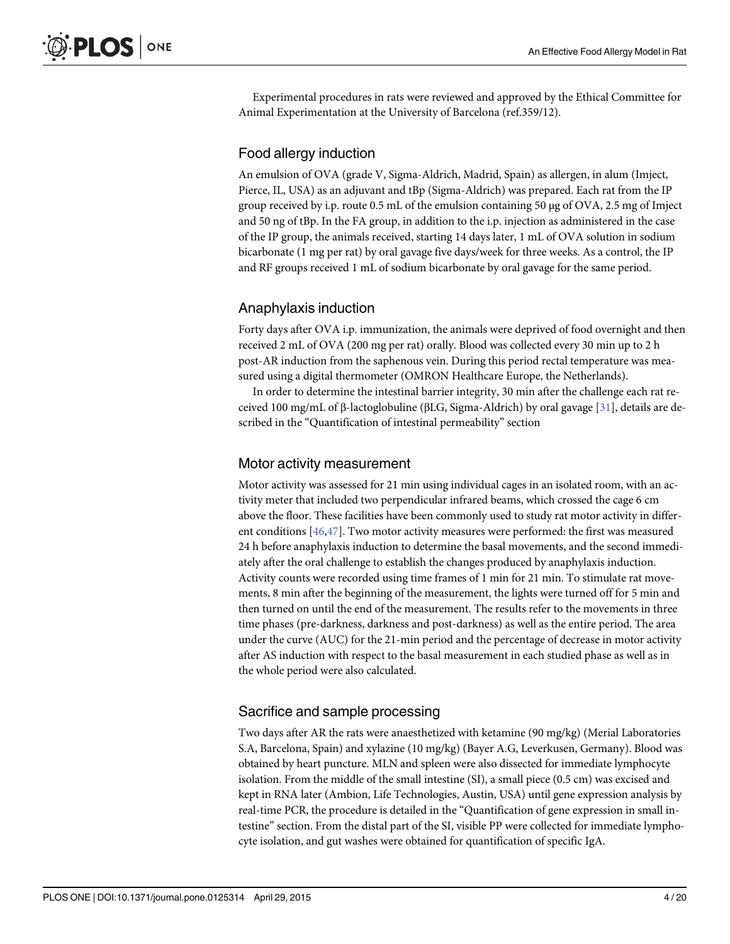<span id="page-3-0"></span>Experimental procedures in rats were reviewed and approved by the Ethical Committee for Animal Experimentation at the University of Barcelona (ref.359/12).

#### Food allergy induction

An emulsion of OVA (grade V, Sigma-Aldrich, Madrid, Spain) as allergen, in alum (Imject, Pierce, IL, USA) as an adjuvant and tBp (Sigma-Aldrich) was prepared. Each rat from the IP group received by i.p. route 0.5 mL of the emulsion containing 50 μg of OVA, 2.5 mg of Imject and 50 ng of tBp. In the FA group, in addition to the i.p. injection as administered in the case of the IP group, the animals received, starting 14 days later, 1 mL of OVA solution in sodium bicarbonate (1 mg per rat) by oral gavage five days/week for three weeks. As a control, the IP and RF groups received 1 mL of sodium bicarbonate by oral gavage for the same period.

#### Anaphylaxis induction

Forty days after OVA i.p. immunization, the animals were deprived of food overnight and then received 2 mL of OVA (200 mg per rat) orally. Blood was collected every 30 min up to 2 h post-AR induction from the saphenous vein. During this period rectal temperature was measured using a digital thermometer (OMRON Healthcare Europe, the Netherlands).

In order to determine the intestinal barrier integrity, 30 min after the challenge each rat received 100 mg/mL of β-lactoglobuline (βLG, Sigma-Aldrich) by oral gavage [\[31\]](#page-17-0), details are described in the "Quantification of intestinal permeability" section

#### Motor activity measurement

Motor activity was assessed for 21 min using individual cages in an isolated room, with an activity meter that included two perpendicular infrared beams, which crossed the cage 6 cm above the floor. These facilities have been commonly used to study rat motor activity in different conditions [[46,47\]](#page-17-0). Two motor activity measures were performed: the first was measured 24 h before anaphylaxis induction to determine the basal movements, and the second immediately after the oral challenge to establish the changes produced by anaphylaxis induction. Activity counts were recorded using time frames of 1 min for 21 min. To stimulate rat movements, 8 min after the beginning of the measurement, the lights were turned off for 5 min and then turned on until the end of the measurement. The results refer to the movements in three time phases (pre-darkness, darkness and post-darkness) as well as the entire period. The area under the curve (AUC) for the 21-min period and the percentage of decrease in motor activity after AS induction with respect to the basal measurement in each studied phase as well as in the whole period were also calculated.

#### Sacrifice and sample processing

Two days after AR the rats were anaesthetized with ketamine (90 mg/kg) (Merial Laboratories S.A, Barcelona, Spain) and xylazine (10 mg/kg) (Bayer A.G, Leverkusen, Germany). Blood was obtained by heart puncture. MLN and spleen were also dissected for immediate lymphocyte isolation. From the middle of the small intestine (SI), a small piece (0.5 cm) was excised and kept in RNA later (Ambion, Life Technologies, Austin, USA) until gene expression analysis by real-time PCR, the procedure is detailed in the "Quantification of gene expression in small intestine" section. From the distal part of the SI, visible PP were collected for immediate lymphocyte isolation, and gut washes were obtained for quantification of specific IgA.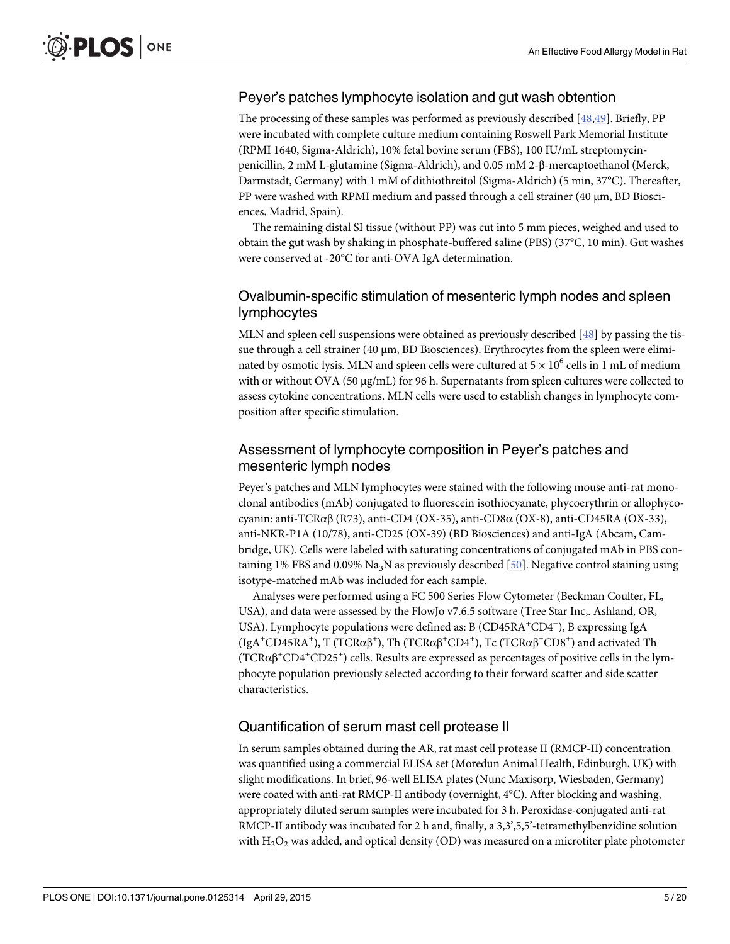# <span id="page-4-0"></span>Peyer's patches lymphocyte isolation and gut wash obtention

The processing of these samples was performed as previously described [\[48,49\]](#page-17-0). Briefly, PP were incubated with complete culture medium containing Roswell Park Memorial Institute (RPMI 1640, Sigma-Aldrich), 10% fetal bovine serum (FBS), 100 IU/mL streptomycinpenicillin, 2 mM L-glutamine (Sigma-Aldrich), and 0.05 mM 2-β-mercaptoethanol (Merck, Darmstadt, Germany) with 1 mM of dithiothreitol (Sigma-Aldrich) (5 min, 37°C). Thereafter, PP were washed with RPMI medium and passed through a cell strainer (40 μm, BD Biosciences, Madrid, Spain).

The remaining distal SI tissue (without PP) was cut into 5 mm pieces, weighed and used to obtain the gut wash by shaking in phosphate-buffered saline (PBS) (37°C, 10 min). Gut washes were conserved at -20°C for anti-OVA IgA determination.

# Ovalbumin-specific stimulation of mesenteric lymph nodes and spleen lymphocytes

MLN and spleen cell suspensions were obtained as previously described [[48](#page-17-0)] by passing the tissue through a cell strainer (40 μm, BD Biosciences). Erythrocytes from the spleen were eliminated by osmotic lysis. MLN and spleen cells were cultured at  $5 \times 10^6$  cells in 1 mL of medium with or without OVA (50 μg/mL) for 96 h. Supernatants from spleen cultures were collected to assess cytokine concentrations. MLN cells were used to establish changes in lymphocyte composition after specific stimulation.

# Assessment of lymphocyte composition in Peyer's patches and mesenteric lymph nodes

Peyer's patches and MLN lymphocytes were stained with the following mouse anti-rat monoclonal antibodies (mAb) conjugated to fluorescein isothiocyanate, phycoerythrin or allophycocyanin: anti-TCRαβ (R73), anti-CD4 (OX-35), anti-CD8α (OX-8), anti-CD45RA (OX-33), anti-NKR-P1A (10/78), anti-CD25 (OX-39) (BD Biosciences) and anti-IgA (Abcam, Cambridge, UK). Cells were labeled with saturating concentrations of conjugated mAb in PBS containing 1% FBS and 0.09% Na<sub>3</sub>N as previously described [ $50$ ]. Negative control staining using isotype-matched mAb was included for each sample.

Analyses were performed using a FC 500 Series Flow Cytometer (Beckman Coulter, FL, USA), and data were assessed by the FlowJo v7.6.5 software (Tree Star Inc,. Ashland, OR, USA). Lymphocyte populations were defined as: B (CD45RA<sup>+</sup>CD4<sup>-</sup>), B expressing IgA (IgA<sup>+</sup>CD45RA<sup>+</sup>), T (TCR $\alpha\beta$ <sup>+</sup>), Th (TCR $\alpha\beta$ <sup>+</sup>CD4<sup>+</sup>), Tc (TCR $\alpha\beta$ <sup>+</sup>CD8<sup>+</sup>) and activated Th (TCRαβ<sup>+</sup> CD4<sup>+</sup> CD25<sup>+</sup> ) cells. Results are expressed as percentages of positive cells in the lymphocyte population previously selected according to their forward scatter and side scatter characteristics.

# Quantification of serum mast cell protease II

In serum samples obtained during the AR, rat mast cell protease II (RMCP-II) concentration was quantified using a commercial ELISA set (Moredun Animal Health, Edinburgh, UK) with slight modifications. In brief, 96-well ELISA plates (Nunc Maxisorp, Wiesbaden, Germany) were coated with anti-rat RMCP-II antibody (overnight, 4°C). After blocking and washing, appropriately diluted serum samples were incubated for 3 h. Peroxidase-conjugated anti-rat RMCP-II antibody was incubated for 2 h and, finally, a 3,3',5,5'-tetramethylbenzidine solution with  $H_2O_2$  was added, and optical density (OD) was measured on a microtiter plate photometer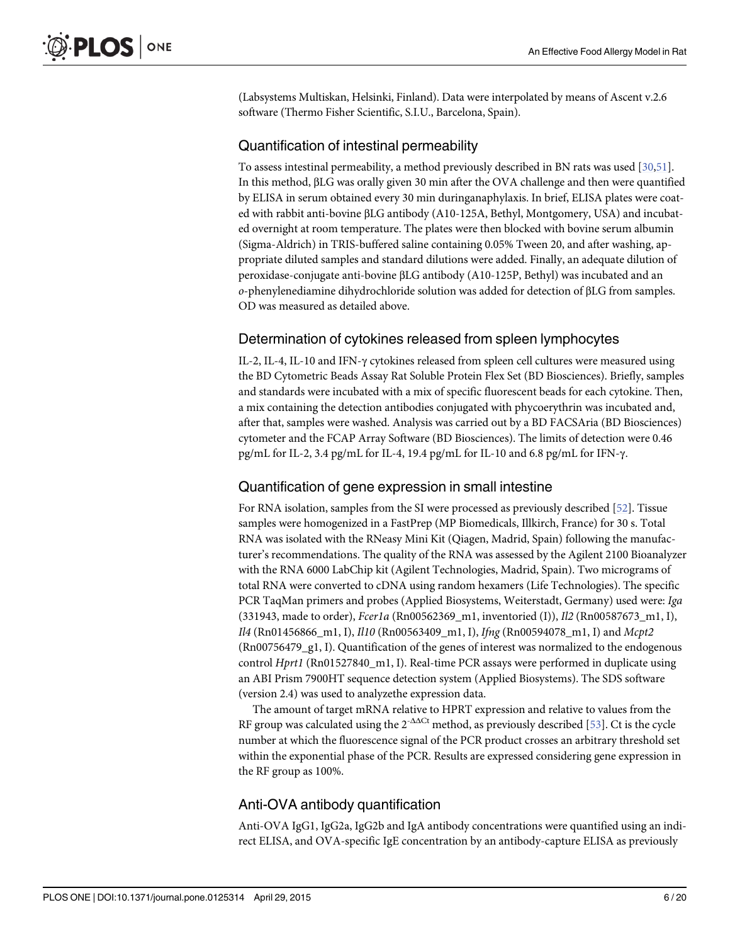<span id="page-5-0"></span>(Labsystems Multiskan, Helsinki, Finland). Data were interpolated by means of Ascent v.2.6 software (Thermo Fisher Scientific, S.I.U., Barcelona, Spain).

## Quantification of intestinal permeability

To assess intestinal permeability, a method previously described in BN rats was used [[30](#page-17-0)[,51](#page-18-0)]. In this method, βLG was orally given 30 min after the OVA challenge and then were quantified by ELISA in serum obtained every 30 min duringanaphylaxis. In brief, ELISA plates were coated with rabbit anti-bovine βLG antibody (A10-125A, Bethyl, Montgomery, USA) and incubated overnight at room temperature. The plates were then blocked with bovine serum albumin (Sigma-Aldrich) in TRIS-buffered saline containing 0.05% Tween 20, and after washing, appropriate diluted samples and standard dilutions were added. Finally, an adequate dilution of peroxidase-conjugate anti-bovine βLG antibody (A10-125P, Bethyl) was incubated and an o-phenylenediamine dihydrochloride solution was added for detection of βLG from samples. OD was measured as detailed above.

# Determination of cytokines released from spleen lymphocytes

IL-2, IL-4, IL-10 and IFN-γ cytokines released from spleen cell cultures were measured using the BD Cytometric Beads Assay Rat Soluble Protein Flex Set (BD Biosciences). Briefly, samples and standards were incubated with a mix of specific fluorescent beads for each cytokine. Then, a mix containing the detection antibodies conjugated with phycoerythrin was incubated and, after that, samples were washed. Analysis was carried out by a BD FACSAria (BD Biosciences) cytometer and the FCAP Array Software (BD Biosciences). The limits of detection were 0.46 pg/mL for IL-2, 3.4 pg/mL for IL-4, 19.4 pg/mL for IL-10 and 6.8 pg/mL for IFN-γ.

## Quantification of gene expression in small intestine

For RNA isolation, samples from the SI were processed as previously described [\[52\]](#page-18-0). Tissue samples were homogenized in a FastPrep (MP Biomedicals, Illkirch, France) for 30 s. Total RNA was isolated with the RNeasy Mini Kit (Qiagen, Madrid, Spain) following the manufacturer's recommendations. The quality of the RNA was assessed by the Agilent 2100 Bioanalyzer with the RNA 6000 LabChip kit (Agilent Technologies, Madrid, Spain). Two micrograms of total RNA were converted to cDNA using random hexamers (Life Technologies). The specific PCR TaqMan primers and probes (Applied Biosystems, Weiterstadt, Germany) used were: Iga (331943, made to order), Fcer1a (Rn00562369\_m1, inventoried (I)), Il2 (Rn00587673\_m1, I), Il4 (Rn01456866\_m1, I), Il10 (Rn00563409\_m1, I), Ifng (Rn00594078\_m1, I) and Mcpt2 (Rn00756479\_g1, I). Quantification of the genes of interest was normalized to the endogenous control Hprt1 (Rn01527840\_m1, I). Real-time PCR assays were performed in duplicate using an ABI Prism 7900HT sequence detection system (Applied Biosystems). The SDS software (version 2.4) was used to analyzethe expression data.

The amount of target mRNA relative to HPRT expression and relative to values from the RF group was calculated using the  $2<sup>{\triangle} \Delta</sup>$ Ct method, as previously described [[53](#page-18-0)]. Ct is the cycle number at which the fluorescence signal of the PCR product crosses an arbitrary threshold set within the exponential phase of the PCR. Results are expressed considering gene expression in the RF group as 100%.

## Anti-OVA antibody quantification

Anti-OVA IgG1, IgG2a, IgG2b and IgA antibody concentrations were quantified using an indirect ELISA, and OVA-specific IgE concentration by an antibody-capture ELISA as previously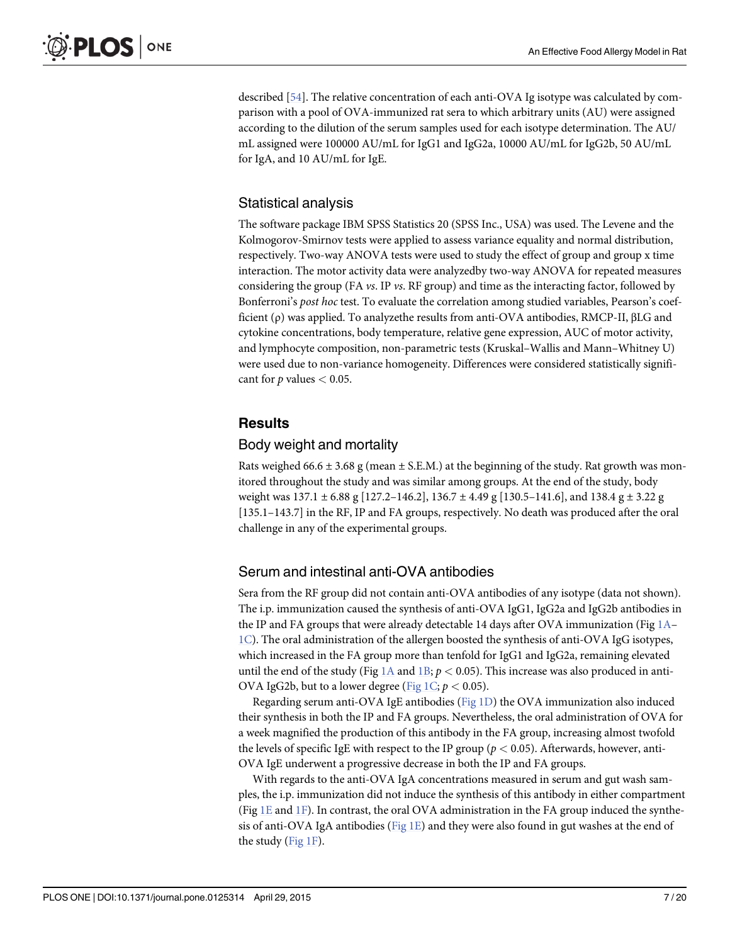<span id="page-6-0"></span>described [\[54](#page-18-0)]. The relative concentration of each anti-OVA Ig isotype was calculated by comparison with a pool of OVA-immunized rat sera to which arbitrary units (AU) were assigned according to the dilution of the serum samples used for each isotype determination. The AU/ mL assigned were 100000 AU/mL for IgG1 and IgG2a, 10000 AU/mL for IgG2b, 50 AU/mL for IgA, and 10 AU/mL for IgE.

# Statistical analysis

The software package IBM SPSS Statistics 20 (SPSS Inc., USA) was used. The Levene and the Kolmogorov-Smirnov tests were applied to assess variance equality and normal distribution, respectively. Two-way ANOVA tests were used to study the effect of group and group x time interaction. The motor activity data were analyzedby two-way ANOVA for repeated measures considering the group (FA vs. IP vs. RF group) and time as the interacting factor, followed by Bonferroni's post hoc test. To evaluate the correlation among studied variables, Pearson's coefficient (ρ) was applied. To analyzethe results from anti-OVA antibodies, RMCP-II, βLG and cytokine concentrations, body temperature, relative gene expression, AUC of motor activity, and lymphocyte composition, non-parametric tests (Kruskal–Wallis and Mann–Whitney U) were used due to non-variance homogeneity. Differences were considered statistically significant for  $p$  values  $< 0.05$ .

# **Results**

## Body weight and mortality

Rats weighed 66.6  $\pm$  3.68 g (mean  $\pm$  S.E.M.) at the beginning of the study. Rat growth was monitored throughout the study and was similar among groups. At the end of the study, body weight was  $137.1 \pm 6.88$  g  $[127.2-146.2]$ ,  $136.7 \pm 4.49$  g  $[130.5-141.6]$ , and  $138.4$  g  $\pm 3.22$  g [135.1–143.7] in the RF, IP and FA groups, respectively. No death was produced after the oral challenge in any of the experimental groups.

## Serum and intestinal anti-OVA antibodies

Sera from the RF group did not contain anti-OVA antibodies of any isotype (data not shown). The i.p. immunization caused the synthesis of anti-OVA IgG1, IgG2a and IgG2b antibodies in the IP and FA groups that were already detectable 14 days after OVA immunization (Fig  $1A$ – [1C](#page-7-0)). The oral administration of the allergen boosted the synthesis of anti-OVA IgG isotypes, which increased in the FA group more than tenfold for IgG1 and IgG2a, remaining elevated until the end of the study (Fig [1A](#page-7-0) and [1B](#page-7-0);  $p < 0.05$ ). This increase was also produced in anti-OVA IgG2b, but to a lower degree ([Fig 1C;](#page-7-0)  $p < 0.05$ ).

Regarding serum anti-OVA IgE antibodies ( $Fig 1D$ ) the OVA immunization also induced their synthesis in both the IP and FA groups. Nevertheless, the oral administration of OVA for a week magnified the production of this antibody in the FA group, increasing almost twofold the levels of specific IgE with respect to the IP group ( $p < 0.05$ ). Afterwards, however, anti-OVA IgE underwent a progressive decrease in both the IP and FA groups.

With regards to the anti-OVA IgA concentrations measured in serum and gut wash samples, the i.p. immunization did not induce the synthesis of this antibody in either compartment (Fig  $1E$  and  $1F$ ). In contrast, the oral OVA administration in the FA group induced the synthesis of anti-OVA IgA antibodies ( $Fig 1E$ ) and they were also found in gut washes at the end of the study ( $Fig 1F$ ).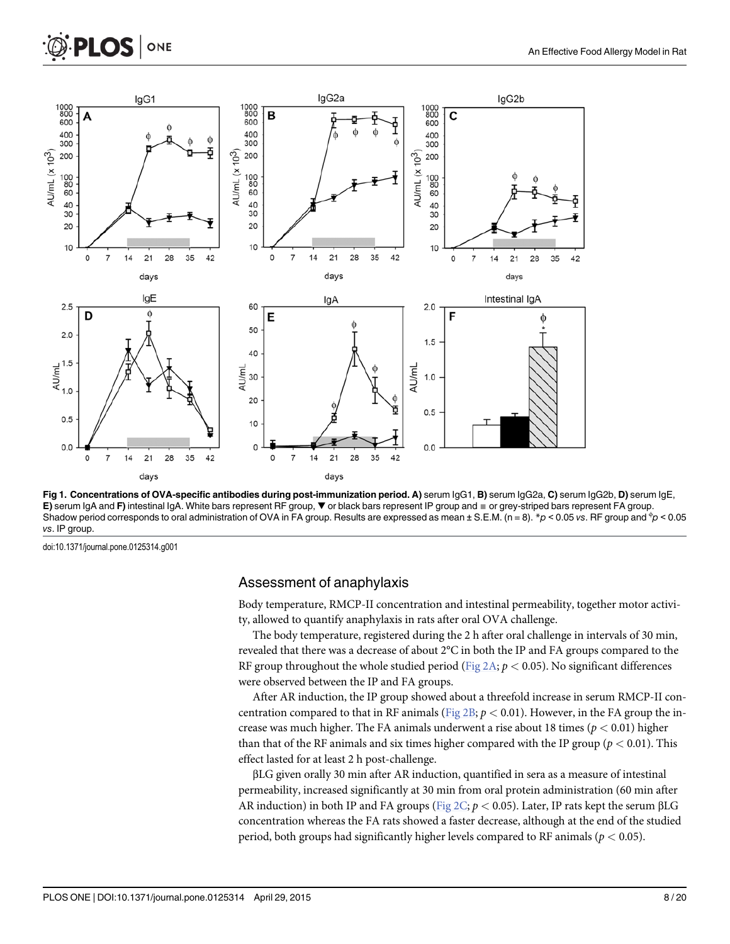<span id="page-7-0"></span>

[Fig 1. C](#page-6-0)oncentrations of OVA-specific antibodies during post-immunization period. A) serum IgG1, B) serum IgG2a, C) serum IgG2b, D) serum IgE, E) serum IgA and F) intestinal IgA. White bars represent RF group, ▼ or black bars represent IP group and ∎ or grey-striped bars represent FA group. Shadow period corresponds to oral administration of OVA in FA group. Results are expressed as mean ± S.E.M. (n = 8). \*p < 0.05 vs. RF group and \*p < 0.05 vs. IP group.

**PLOS** I

ONE

#### Assessment of anaphylaxis

Body temperature, RMCP-II concentration and intestinal permeability, together motor activity, allowed to quantify anaphylaxis in rats after oral OVA challenge.

The body temperature, registered during the 2 h after oral challenge in intervals of 30 min, revealed that there was a decrease of about 2°C in both the IP and FA groups compared to the RF group throughout the whole studied period [\(Fig 2A;](#page-8-0)  $p < 0.05$ ). No significant differences were observed between the IP and FA groups.

After AR induction, the IP group showed about a threefold increase in serum RMCP-II con-centration compared to that in RF animals ([Fig 2B;](#page-8-0)  $p < 0.01$ ). However, in the FA group the increase was much higher. The FA animals underwent a rise about 18 times ( $p < 0.01$ ) higher than that of the RF animals and six times higher compared with the IP group ( $p < 0.01$ ). This effect lasted for at least 2 h post-challenge.

βLG given orally 30 min after AR induction, quantified in sera as a measure of intestinal permeability, increased significantly at 30 min from oral protein administration (60 min after AR induction) in both IP and FA groups ([Fig 2C;](#page-8-0)  $p < 0.05$ ). Later, IP rats kept the serum  $\beta$ LG concentration whereas the FA rats showed a faster decrease, although at the end of the studied period, both groups had significantly higher levels compared to RF animals ( $p < 0.05$ ).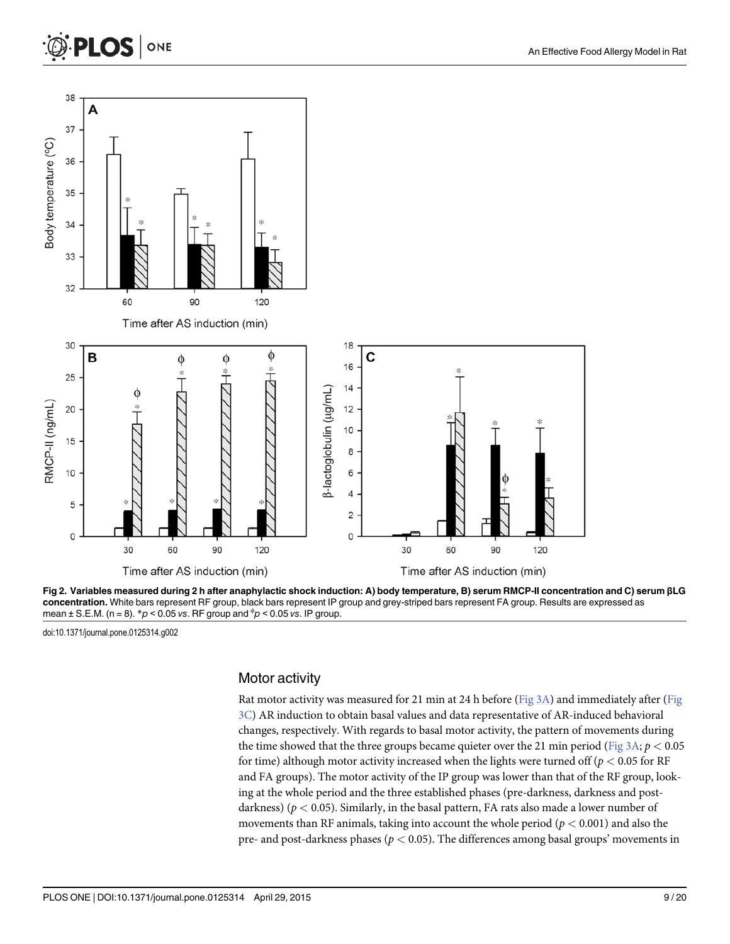<span id="page-8-0"></span>



[Fig 2. V](#page-7-0)ariables measured during 2 h after anaphylactic shock induction: A) body temperature, B) serum RMCP-II concentration and C) serum βLG concentration. White bars represent RF group, black bars represent IP group and grey-striped bars represent FA group. Results are expressed as mean  $\pm$  S.E.M. (n = 8).  $* p < 0.05$  vs. RF group and  $\phi p < 0.05$  vs. IP group.

#### Motor activity

Rat motor activity was measured for 21 min at 24 h before ([Fig](#page-9-0)  $3A$ ) and immediately after (Fig [3C](#page-9-0)) AR induction to obtain basal values and data representative of AR-induced behavioral changes, respectively. With regards to basal motor activity, the pattern of movements during the time showed that the three groups became quieter over the 21 min period [\(Fig 3A;](#page-9-0)  $p < 0.05$ ) for time) although motor activity increased when the lights were turned off ( $p < 0.05$  for RF and FA groups). The motor activity of the IP group was lower than that of the RF group, looking at the whole period and the three established phases (pre-darkness, darkness and postdarkness) ( $p < 0.05$ ). Similarly, in the basal pattern, FA rats also made a lower number of movements than RF animals, taking into account the whole period ( $p < 0.001$ ) and also the pre- and post-darkness phases ( $p < 0.05$ ). The differences among basal groups' movements in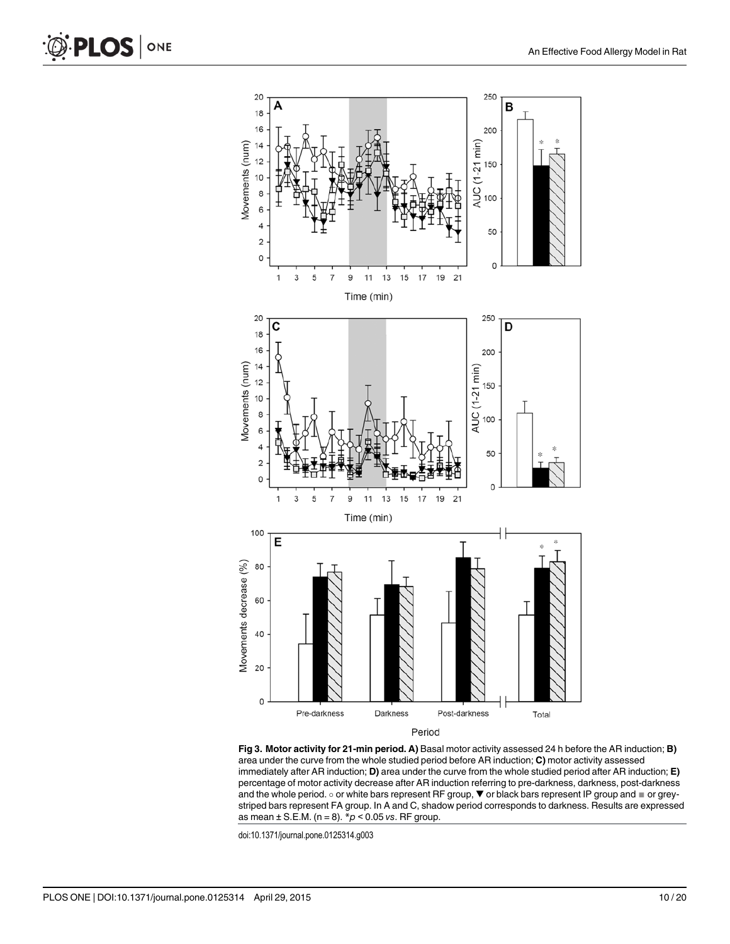<span id="page-9-0"></span>



[Fig 3. M](#page-8-0)otor activity for 21-min period. A) Basal motor activity assessed 24 h before the AR induction; B) area under the curve from the whole studied period before AR induction; C) motor activity assessed immediately after AR induction; **D**) area under the curve from the whole studied period after AR induction; **E**) percentage of motor activity decrease after AR induction referring to pre-darkness, darkness, post-darkness and the whole period. or white bars represent RF group, ▼ or black bars represent IP group and ∎ or greystriped bars represent FA group. In A and C, shadow period corresponds to darkness. Results are expressed as mean  $\pm$  S.E.M. (n = 8).  $*$  $p$  < 0.05 vs. RF group.

doi:10.1371/journal.pone.0125314.g003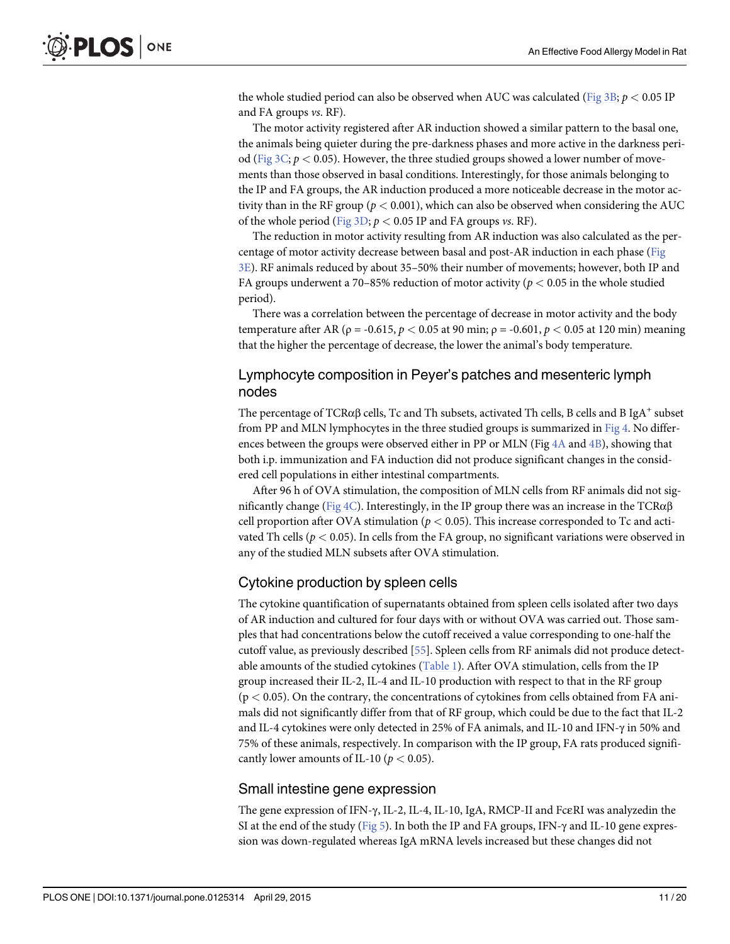<span id="page-10-0"></span>the whole studied period can also be observed when AUC was calculated [\(Fig 3B](#page-9-0);  $p < 0.05$  IP and FA groups vs. RF).

The motor activity registered after AR induction showed a similar pattern to the basal one, the animals being quieter during the pre-darkness phases and more active in the darkness peri-od ([Fig 3C;](#page-9-0)  $p < 0.05$ ). However, the three studied groups showed a lower number of movements than those observed in basal conditions. Interestingly, for those animals belonging to the IP and FA groups, the AR induction produced a more noticeable decrease in the motor activity than in the RF group ( $p < 0.001$ ), which can also be observed when considering the AUC of the whole period [\(Fig 3D](#page-9-0);  $p < 0.05$  IP and FA groups *vs*. RF).

The reduction in motor activity resulting from AR induction was also calculated as the percentage of motor activity decrease between basal and post-AR induction in each phase ([Fig](#page-9-0) [3E](#page-9-0)). RF animals reduced by about 35–50% their number of movements; however, both IP and FA groups underwent a 70–85% reduction of motor activity ( $p < 0.05$  in the whole studied period).

There was a correlation between the percentage of decrease in motor activity and the body temperature after AR ( $\rho = -0.615$ ,  $p < 0.05$  at 90 min;  $\rho = -0.601$ ,  $p < 0.05$  at 120 min) meaning that the higher the percentage of decrease, the lower the animal's body temperature.

# Lymphocyte composition in Peyer's patches and mesenteric lymph nodes

The percentage of TCR $\alpha\beta$  cells, Tc and Th subsets, activated Th cells, B cells and B IgA<sup>+</sup> subset from PP and MLN lymphocytes in the three studied groups is summarized in [Fig 4.](#page-11-0) No differences between the groups were observed either in PP or MLN (Fig  $4A$  and  $4B$ ), showing that both i.p. immunization and FA induction did not produce significant changes in the considered cell populations in either intestinal compartments.

After 96 h of OVA stimulation, the composition of MLN cells from RF animals did not sig-nificantly change ([Fig 4C\)](#page-11-0). Interestingly, in the IP group there was an increase in the  $TCR\alpha\beta$ cell proportion after OVA stimulation ( $p < 0.05$ ). This increase corresponded to Tc and activated Th cells ( $p < 0.05$ ). In cells from the FA group, no significant variations were observed in any of the studied MLN subsets after OVA stimulation.

## Cytokine production by spleen cells

The cytokine quantification of supernatants obtained from spleen cells isolated after two days of AR induction and cultured for four days with or without OVA was carried out. Those samples that had concentrations below the cutoff received a value corresponding to one-half the cutoff value, as previously described [[55](#page-18-0)]. Spleen cells from RF animals did not produce detectable amounts of the studied cytokines ([Table 1\)](#page-11-0). After OVA stimulation, cells from the IP group increased their IL-2, IL-4 and IL-10 production with respect to that in the RF group  $(p < 0.05)$ . On the contrary, the concentrations of cytokines from cells obtained from FA animals did not significantly differ from that of RF group, which could be due to the fact that IL-2 and IL-4 cytokines were only detected in 25% of FA animals, and IL-10 and IFN-γ in 50% and 75% of these animals, respectively. In comparison with the IP group, FA rats produced significantly lower amounts of IL-10 ( $p < 0.05$ ).

#### Small intestine gene expression

The gene expression of IFN-γ, IL-2, IL-4, IL-10, IgA, RMCP-II and FcεRI was analyzedin the SI at the end of the study ([Fig 5](#page-12-0)). In both the IP and FA groups, IFN-γ and IL-10 gene expression was down-regulated whereas IgA mRNA levels increased but these changes did not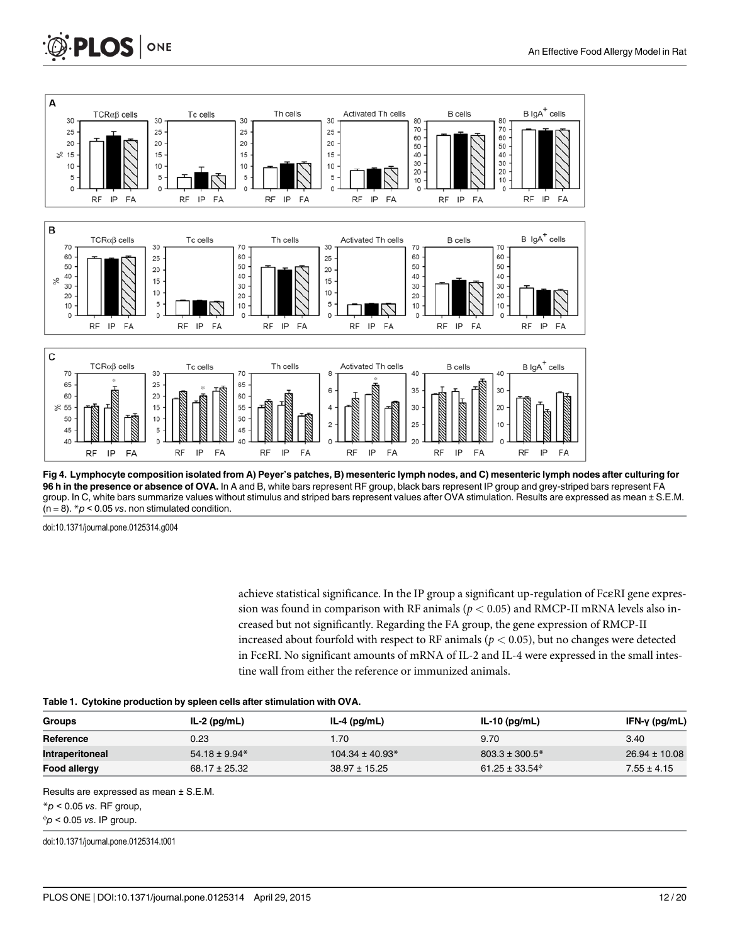



[Fig 4. L](#page-10-0)ymphocyte composition isolated from A) Peyer's patches, B) mesenteric lymph nodes, and C) mesenteric lymph nodes after culturing for 96 h in the presence or absence of OVA. In A and B, white bars represent RF group, black bars represent IP group and grey-striped bars represent FA group. In C, white bars summarize values without stimulus and striped bars represent values after OVA stimulation. Results are expressed as mean ± S.E.M.  $(n = 8)$ . \* $p < 0.05$  vs. non stimulated condition.

ONE

<span id="page-11-0"></span>**PLOS I** 

achieve statistical significance. In the IP group a significant up-regulation of FcεRI gene expression was found in comparison with RF animals ( $p < 0.05$ ) and RMCP-II mRNA levels also increased but not significantly. Regarding the FA group, the gene expression of RMCP-II increased about fourfold with respect to RF animals ( $p < 0.05$ ), but no changes were detected in FcεRI. No significant amounts of mRNA of IL-2 and IL-4 were expressed in the small intestine wall from either the reference or immunized animals.

|  |  |  |  | Table 1. Cytokine production by spleen cells after stimulation with OVA. |  |
|--|--|--|--|--------------------------------------------------------------------------|--|
|--|--|--|--|--------------------------------------------------------------------------|--|

| Groups              | IL-2 (pg/mL)      | IL-4 (pg/mL)        | IL-10 (pg/mL)             | IFN- $\gamma$ (pg/mL) |
|---------------------|-------------------|---------------------|---------------------------|-----------------------|
| Reference           | 0.23              | 1.70                | 9.70                      | 3.40                  |
| Intraperitoneal     | $54.18 \pm 9.94*$ | $104.34 \pm 40.93*$ | $803.3 \pm 300.5*$        | $26.94 \pm 10.08$     |
| <b>Food allergy</b> | $68.17 \pm 25.32$ | $38.97 \pm 15.25$   | $61.25 \pm 33.54^{\circ}$ | $7.55 \pm 4.15$       |

Results are expressed as mean ± S.E.M.

 $*_{p}$  < 0.05 vs. RF group,

 $^{\circ}$ p < 0.05 vs. IP group.

doi:10.1371/journal.pone.0125314.t001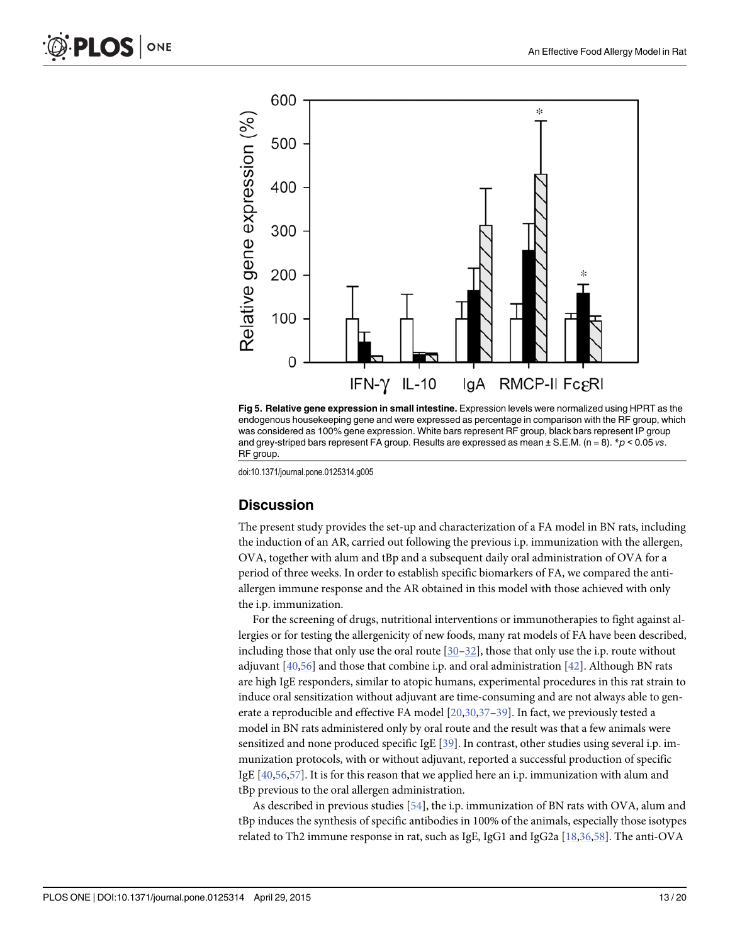<span id="page-12-0"></span>

[Fig 5. R](#page-10-0)elative gene expression in small intestine. Expression levels were normalized using HPRT as the endogenous housekeeping gene and were expressed as percentage in comparison with the RF group, which was considered as 100% gene expression. White bars represent RF group, black bars represent IP group and grey-striped bars represent FA group. Results are expressed as mean  $\pm$  S.E.M. (n = 8). \*p < 0.05 vs. RF group.

#### **Discussion**

The present study provides the set-up and characterization of a FA model in BN rats, including the induction of an AR, carried out following the previous i.p. immunization with the allergen, OVA, together with alum and tBp and a subsequent daily oral administration of OVA for a period of three weeks. In order to establish specific biomarkers of FA, we compared the antiallergen immune response and the AR obtained in this model with those achieved with only the i.p. immunization.

For the screening of drugs, nutritional interventions or immunotherapies to fight against allergies or for testing the allergenicity of new foods, many rat models of FA have been described, including those that only use the oral route [\[30](#page-17-0)–[32\]](#page-17-0), those that only use the i.p. route without adjuvant  $[40,56]$  $[40,56]$  and those that combine i.p. and oral administration  $[42]$  $[42]$  $[42]$ . Although BN rats are high IgE responders, similar to atopic humans, experimental procedures in this rat strain to induce oral sensitization without adjuvant are time-consuming and are not always able to generate a reproducible and effective FA model  $[20,30,37-39]$  $[20,30,37-39]$  $[20,30,37-39]$  $[20,30,37-39]$  $[20,30,37-39]$  $[20,30,37-39]$ . In fact, we previously tested a model in BN rats administered only by oral route and the result was that a few animals were sensitized and none produced specific IgE [\[39\]](#page-17-0). In contrast, other studies using several i.p. immunization protocols, with or without adjuvant, reported a successful production of specific IgE [\[40,](#page-17-0)[56,57](#page-18-0)]. It is for this reason that we applied here an i.p. immunization with alum and tBp previous to the oral allergen administration.

As described in previous studies  $[54]$  $[54]$ , the i.p. immunization of BN rats with OVA, alum and tBp induces the synthesis of specific antibodies in 100% of the animals, especially those isotypes related to Th2 immune response in rat, such as IgE, IgG1 and IgG2a [\[18](#page-16-0)[,36,](#page-17-0)[58\]](#page-18-0). The anti-OVA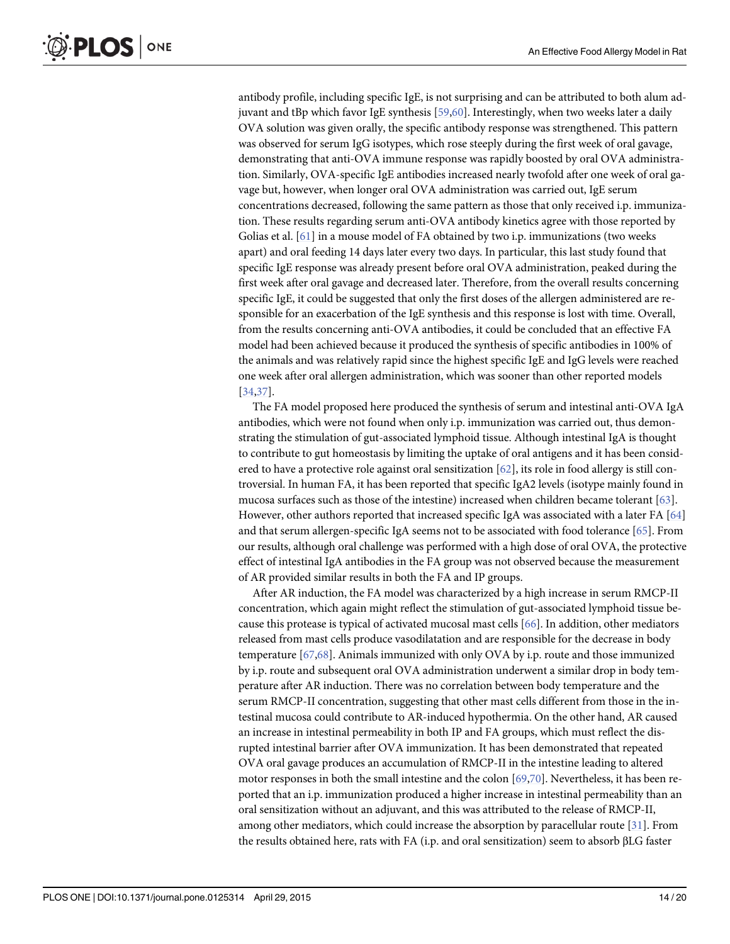<span id="page-13-0"></span>antibody profile, including specific IgE, is not surprising and can be attributed to both alum adjuvant and tBp which favor IgE synthesis [\[59,60\]](#page-18-0). Interestingly, when two weeks later a daily OVA solution was given orally, the specific antibody response was strengthened. This pattern was observed for serum IgG isotypes, which rose steeply during the first week of oral gavage, demonstrating that anti-OVA immune response was rapidly boosted by oral OVA administration. Similarly, OVA-specific IgE antibodies increased nearly twofold after one week of oral gavage but, however, when longer oral OVA administration was carried out, IgE serum concentrations decreased, following the same pattern as those that only received i.p. immunization. These results regarding serum anti-OVA antibody kinetics agree with those reported by Golias et al. [[61](#page-18-0)] in a mouse model of FA obtained by two i.p. immunizations (two weeks apart) and oral feeding 14 days later every two days. In particular, this last study found that specific IgE response was already present before oral OVA administration, peaked during the first week after oral gavage and decreased later. Therefore, from the overall results concerning specific IgE, it could be suggested that only the first doses of the allergen administered are responsible for an exacerbation of the IgE synthesis and this response is lost with time. Overall, from the results concerning anti-OVA antibodies, it could be concluded that an effective FA model had been achieved because it produced the synthesis of specific antibodies in 100% of the animals and was relatively rapid since the highest specific IgE and IgG levels were reached one week after oral allergen administration, which was sooner than other reported models [\[34,37\]](#page-17-0).

The FA model proposed here produced the synthesis of serum and intestinal anti-OVA IgA antibodies, which were not found when only i.p. immunization was carried out, thus demonstrating the stimulation of gut-associated lymphoid tissue. Although intestinal IgA is thought to contribute to gut homeostasis by limiting the uptake of oral antigens and it has been considered to have a protective role against oral sensitization [[62](#page-18-0)], its role in food allergy is still controversial. In human FA, it has been reported that specific IgA2 levels (isotype mainly found in mucosa surfaces such as those of the intestine) increased when children became tolerant [\[63\]](#page-18-0). However, other authors reported that increased specific IgA was associated with a later FA [\[64\]](#page-18-0) and that serum allergen-specific IgA seems not to be associated with food tolerance [[65](#page-18-0)]. From our results, although oral challenge was performed with a high dose of oral OVA, the protective effect of intestinal IgA antibodies in the FA group was not observed because the measurement of AR provided similar results in both the FA and IP groups.

After AR induction, the FA model was characterized by a high increase in serum RMCP-II concentration, which again might reflect the stimulation of gut-associated lymphoid tissue because this protease is typical of activated mucosal mast cells [\[66\]](#page-18-0). In addition, other mediators released from mast cells produce vasodilatation and are responsible for the decrease in body temperature [\[67,68\]](#page-18-0). Animals immunized with only OVA by i.p. route and those immunized by i.p. route and subsequent oral OVA administration underwent a similar drop in body temperature after AR induction. There was no correlation between body temperature and the serum RMCP-II concentration, suggesting that other mast cells different from those in the intestinal mucosa could contribute to AR-induced hypothermia. On the other hand, AR caused an increase in intestinal permeability in both IP and FA groups, which must reflect the disrupted intestinal barrier after OVA immunization. It has been demonstrated that repeated OVA oral gavage produces an accumulation of RMCP-II in the intestine leading to altered motor responses in both the small intestine and the colon  $[69,70]$  $[69,70]$ . Nevertheless, it has been reported that an i.p. immunization produced a higher increase in intestinal permeability than an oral sensitization without an adjuvant, and this was attributed to the release of RMCP-II, among other mediators, which could increase the absorption by paracellular route [[31](#page-17-0)]. From the results obtained here, rats with FA (i.p. and oral sensitization) seem to absorb βLG faster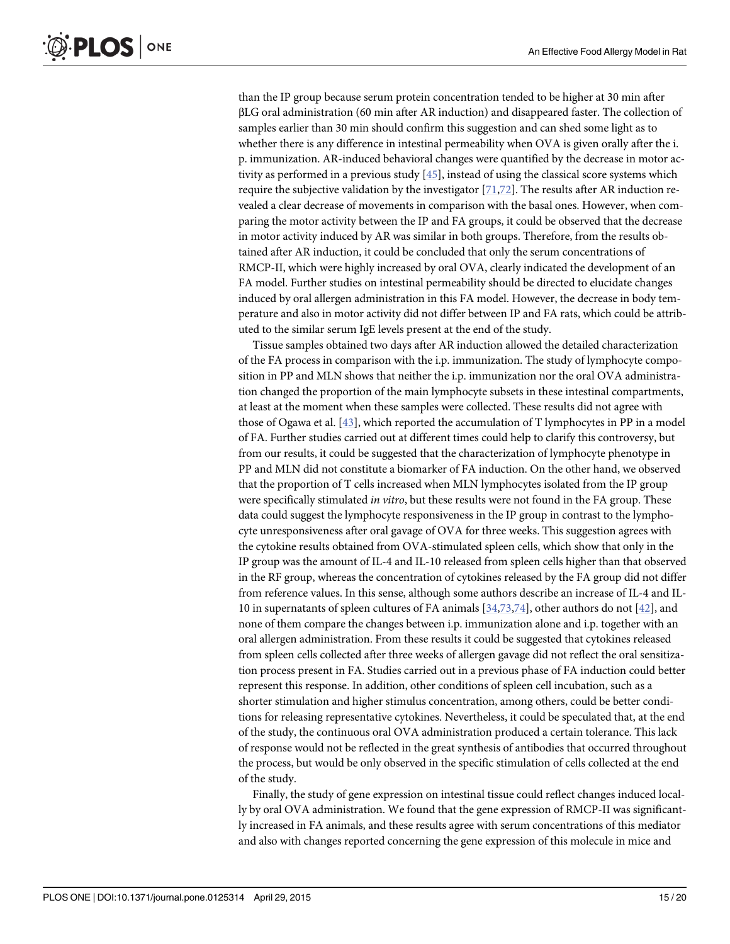<span id="page-14-0"></span>than the IP group because serum protein concentration tended to be higher at 30 min after βLG oral administration (60 min after AR induction) and disappeared faster. The collection of samples earlier than 30 min should confirm this suggestion and can shed some light as to whether there is any difference in intestinal permeability when OVA is given orally after the i. p. immunization. AR-induced behavioral changes were quantified by the decrease in motor activity as performed in a previous study  $[45]$  $[45]$  $[45]$ , instead of using the classical score systems which require the subjective validation by the investigator [[71](#page-18-0)[,72\]](#page-19-0). The results after AR induction revealed a clear decrease of movements in comparison with the basal ones. However, when comparing the motor activity between the IP and FA groups, it could be observed that the decrease in motor activity induced by AR was similar in both groups. Therefore, from the results obtained after AR induction, it could be concluded that only the serum concentrations of RMCP-II, which were highly increased by oral OVA, clearly indicated the development of an FA model. Further studies on intestinal permeability should be directed to elucidate changes induced by oral allergen administration in this FA model. However, the decrease in body temperature and also in motor activity did not differ between IP and FA rats, which could be attributed to the similar serum IgE levels present at the end of the study.

Tissue samples obtained two days after AR induction allowed the detailed characterization of the FA process in comparison with the i.p. immunization. The study of lymphocyte composition in PP and MLN shows that neither the i.p. immunization nor the oral OVA administration changed the proportion of the main lymphocyte subsets in these intestinal compartments, at least at the moment when these samples were collected. These results did not agree with those of Ogawa et al. [\[43\]](#page-17-0), which reported the accumulation of T lymphocytes in PP in a model of FA. Further studies carried out at different times could help to clarify this controversy, but from our results, it could be suggested that the characterization of lymphocyte phenotype in PP and MLN did not constitute a biomarker of FA induction. On the other hand, we observed that the proportion of T cells increased when MLN lymphocytes isolated from the IP group were specifically stimulated in vitro, but these results were not found in the FA group. These data could suggest the lymphocyte responsiveness in the IP group in contrast to the lymphocyte unresponsiveness after oral gavage of OVA for three weeks. This suggestion agrees with the cytokine results obtained from OVA-stimulated spleen cells, which show that only in the IP group was the amount of IL-4 and IL-10 released from spleen cells higher than that observed in the RF group, whereas the concentration of cytokines released by the FA group did not differ from reference values. In this sense, although some authors describe an increase of IL-4 and IL-10 in supernatants of spleen cultures of FA animals  $[34,73,74]$  $[34,73,74]$  $[34,73,74]$  $[34,73,74]$ , other authors do not  $[42]$ , and none of them compare the changes between i.p. immunization alone and i.p. together with an oral allergen administration. From these results it could be suggested that cytokines released from spleen cells collected after three weeks of allergen gavage did not reflect the oral sensitization process present in FA. Studies carried out in a previous phase of FA induction could better represent this response. In addition, other conditions of spleen cell incubation, such as a shorter stimulation and higher stimulus concentration, among others, could be better conditions for releasing representative cytokines. Nevertheless, it could be speculated that, at the end of the study, the continuous oral OVA administration produced a certain tolerance. This lack of response would not be reflected in the great synthesis of antibodies that occurred throughout the process, but would be only observed in the specific stimulation of cells collected at the end of the study.

Finally, the study of gene expression on intestinal tissue could reflect changes induced locally by oral OVA administration. We found that the gene expression of RMCP-II was significantly increased in FA animals, and these results agree with serum concentrations of this mediator and also with changes reported concerning the gene expression of this molecule in mice and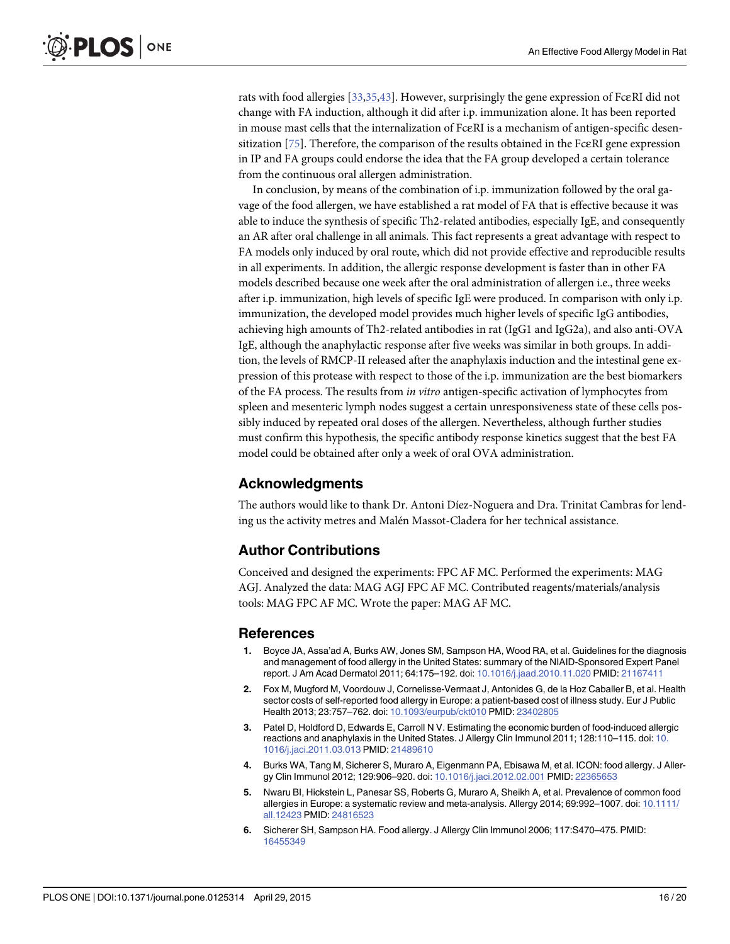<span id="page-15-0"></span>rats with food allergies [\[33,35](#page-17-0),[43](#page-17-0)]. However, surprisingly the gene expression of FcεRI did not change with FA induction, although it did after i.p. immunization alone. It has been reported in mouse mast cells that the internalization of FcεRI is a mechanism of antigen-specific desensitization [\[75\]](#page-19-0). Therefore, the comparison of the results obtained in the FcεRI gene expression in IP and FA groups could endorse the idea that the FA group developed a certain tolerance from the continuous oral allergen administration.

In conclusion, by means of the combination of i.p. immunization followed by the oral gavage of the food allergen, we have established a rat model of FA that is effective because it was able to induce the synthesis of specific Th2-related antibodies, especially IgE, and consequently an AR after oral challenge in all animals. This fact represents a great advantage with respect to FA models only induced by oral route, which did not provide effective and reproducible results in all experiments. In addition, the allergic response development is faster than in other FA models described because one week after the oral administration of allergen i.e., three weeks after i.p. immunization, high levels of specific IgE were produced. In comparison with only i.p. immunization, the developed model provides much higher levels of specific IgG antibodies, achieving high amounts of Th2-related antibodies in rat (IgG1 and IgG2a), and also anti-OVA IgE, although the anaphylactic response after five weeks was similar in both groups. In addition, the levels of RMCP-II released after the anaphylaxis induction and the intestinal gene expression of this protease with respect to those of the i.p. immunization are the best biomarkers of the FA process. The results from in vitro antigen-specific activation of lymphocytes from spleen and mesenteric lymph nodes suggest a certain unresponsiveness state of these cells possibly induced by repeated oral doses of the allergen. Nevertheless, although further studies must confirm this hypothesis, the specific antibody response kinetics suggest that the best FA model could be obtained after only a week of oral OVA administration.

## Acknowledgments

The authors would like to thank Dr. Antoni Díez-Noguera and Dra. Trinitat Cambras for lending us the activity metres and Malén Massot-Cladera for her technical assistance.

## Author Contributions

Conceived and designed the experiments: FPC AF MC. Performed the experiments: MAG AGJ. Analyzed the data: MAG AGJ FPC AF MC. Contributed reagents/materials/analysis tools: MAG FPC AF MC. Wrote the paper: MAG AF MC.

#### References

- [1.](#page-1-0) Boyce JA, Assa'ad A, Burks AW, Jones SM, Sampson HA, Wood RA, et al. Guidelines for the diagnosis and management of food allergy in the United States: summary of the NIAID-Sponsored Expert Panel report. J Am Acad Dermatol 2011; 64:175–192. doi: [10.1016/j.jaad.2010.11.020](http://dx.doi.org/10.1016/j.jaad.2010.11.020) PMID: [21167411](http://www.ncbi.nlm.nih.gov/pubmed/21167411)
- [2.](#page-1-0) Fox M, Mugford M, Voordouw J, Cornelisse-Vermaat J, Antonides G, de la Hoz Caballer B, et al. Health sector costs of self-reported food allergy in Europe: a patient-based cost of illness study. Eur J Public Health 2013; 23:757–762. doi: [10.1093/eurpub/ckt010](http://dx.doi.org/10.1093/eurpub/ckt010) PMID: [23402805](http://www.ncbi.nlm.nih.gov/pubmed/23402805)
- [3.](#page-1-0) Patel D, Holdford D, Edwards E, Carroll N V. Estimating the economic burden of food-induced allergic reactions and anaphylaxis in the United States. J Allergy Clin Immunol 2011; 128:110–115. doi: [10.](http://dx.doi.org/10.1016/j.jaci.2011.03.013) [1016/j.jaci.2011.03.013](http://dx.doi.org/10.1016/j.jaci.2011.03.013) PMID: [21489610](http://www.ncbi.nlm.nih.gov/pubmed/21489610)
- [4.](#page-1-0) Burks WA, Tang M, Sicherer S, Muraro A, Eigenmann PA, Ebisawa M, et al. ICON: food allergy. J Allergy Clin Immunol 2012; 129:906–920. doi: [10.1016/j.jaci.2012.02.001](http://dx.doi.org/10.1016/j.jaci.2012.02.001) PMID: [22365653](http://www.ncbi.nlm.nih.gov/pubmed/22365653)
- [5.](#page-1-0) Nwaru BI, Hickstein L, Panesar SS, Roberts G, Muraro A, Sheikh A, et al. Prevalence of common food allergies in Europe: a systematic review and meta-analysis. Allergy 2014; 69:992–1007. doi: [10.1111/](http://dx.doi.org/10.1111/all.12423) [all.12423](http://dx.doi.org/10.1111/all.12423) PMID: [24816523](http://www.ncbi.nlm.nih.gov/pubmed/24816523)
- [6.](#page-1-0) Sicherer SH, Sampson HA. Food allergy. J Allergy Clin Immunol 2006; 117:S470–475. PMID: [16455349](http://www.ncbi.nlm.nih.gov/pubmed/16455349)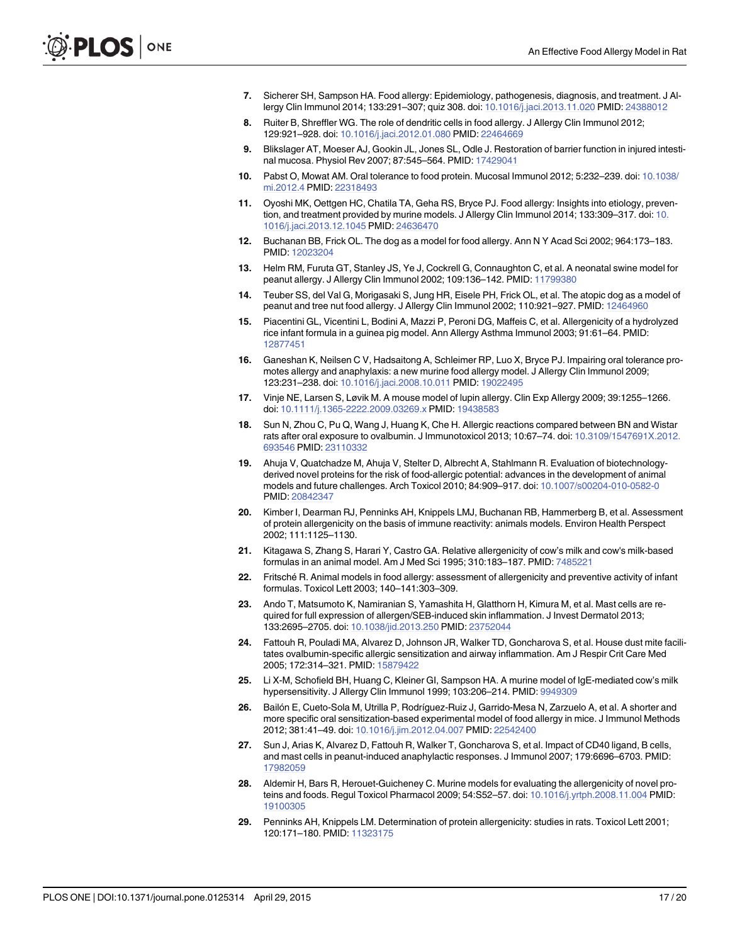- <span id="page-16-0"></span>[7.](#page-1-0) Sicherer SH, Sampson HA. Food allergy: Epidemiology, pathogenesis, diagnosis, and treatment. J Allergy Clin Immunol 2014; 133:291–307; quiz 308. doi: [10.1016/j.jaci.2013.11.020](http://dx.doi.org/10.1016/j.jaci.2013.11.020) PMID: [24388012](http://www.ncbi.nlm.nih.gov/pubmed/24388012)
- [8.](#page-1-0) Ruiter B, Shreffler WG. The role of dendritic cells in food allergy. J Allergy Clin Immunol 2012; 129:921–928. doi: [10.1016/j.jaci.2012.01.080](http://dx.doi.org/10.1016/j.jaci.2012.01.080) PMID: [22464669](http://www.ncbi.nlm.nih.gov/pubmed/22464669)
- [9.](#page-1-0) Blikslager AT, Moeser AJ, Gookin JL, Jones SL, Odle J. Restoration of barrier function in injured intestinal mucosa. Physiol Rev 2007; 87:545–564. PMID: [17429041](http://www.ncbi.nlm.nih.gov/pubmed/17429041)
- [10.](#page-1-0) Pabst O, Mowat AM. Oral tolerance to food protein. Mucosal Immunol 2012; 5:232–239. doi: [10.1038/](http://dx.doi.org/10.1038/mi.2012.4) [mi.2012.4](http://dx.doi.org/10.1038/mi.2012.4) PMID: [22318493](http://www.ncbi.nlm.nih.gov/pubmed/22318493)
- [11.](#page-1-0) Oyoshi MK, Oettgen HC, Chatila TA, Geha RS, Bryce PJ. Food allergy: Insights into etiology, prevention, and treatment provided by murine models. J Allergy Clin Immunol 2014; 133:309–317. doi: [10.](http://dx.doi.org/10.1016/j.jaci.2013.12.1045) [1016/j.jaci.2013.12.1045](http://dx.doi.org/10.1016/j.jaci.2013.12.1045) PMID: [24636470](http://www.ncbi.nlm.nih.gov/pubmed/24636470)
- [12.](#page-1-0) Buchanan BB, Frick OL. The dog as a model for food allergy. Ann N Y Acad Sci 2002; 964:173–183. PMID: [12023204](http://www.ncbi.nlm.nih.gov/pubmed/12023204)
- 13. Helm RM, Furuta GT, Stanley JS, Ye J, Cockrell G, Connaughton C, et al. A neonatal swine model for peanut allergy. J Allergy Clin Immunol 2002; 109:136–142. PMID: [11799380](http://www.ncbi.nlm.nih.gov/pubmed/11799380)
- 14. Teuber SS, del Val G, Morigasaki S, Jung HR, Eisele PH, Frick OL, et al. The atopic dog as a model of peanut and tree nut food allergy. J Allergy Clin Immunol 2002; 110:921–927. PMID: [12464960](http://www.ncbi.nlm.nih.gov/pubmed/12464960)
- 15. Piacentini GL, Vicentini L, Bodini A, Mazzi P, Peroni DG, Maffeis C, et al. Allergenicity of a hydrolyzed rice infant formula in a guinea pig model. Ann Allergy Asthma Immunol 2003; 91:61–64. PMID: [12877451](http://www.ncbi.nlm.nih.gov/pubmed/12877451)
- [16.](#page-2-0) Ganeshan K, Neilsen C V, Hadsaitong A, Schleimer RP, Luo X, Bryce PJ. Impairing oral tolerance promotes allergy and anaphylaxis: a new murine food allergy model. J Allergy Clin Immunol 2009; 123:231–238. doi: [10.1016/j.jaci.2008.10.011](http://dx.doi.org/10.1016/j.jaci.2008.10.011) PMID: [19022495](http://www.ncbi.nlm.nih.gov/pubmed/19022495)
- 17. Vinje NE, Larsen S, Løvik M. A mouse model of lupin allergy. Clin Exp Allergy 2009; 39:1255–1266. doi: [10.1111/j.1365-2222.2009.03269.x](http://dx.doi.org/10.1111/j.1365-2222.2009.03269.x) PMID: [19438583](http://www.ncbi.nlm.nih.gov/pubmed/19438583)
- [18.](#page-1-0) Sun N, Zhou C, Pu Q, Wang J, Huang K, Che H. Allergic reactions compared between BN and Wistar rats after oral exposure to ovalbumin. J Immunotoxicol 2013; 10:67–74. doi: [10.3109/1547691X.2012.](http://dx.doi.org/10.3109/1547691X.2012.693546) [693546](http://dx.doi.org/10.3109/1547691X.2012.693546) PMID: [23110332](http://www.ncbi.nlm.nih.gov/pubmed/23110332)
- [19.](#page-1-0) Ahuja V, Quatchadze M, Ahuja V, Stelter D, Albrecht A, Stahlmann R. Evaluation of biotechnologyderived novel proteins for the risk of food-allergic potential: advances in the development of animal models and future challenges. Arch Toxicol 2010; 84:909–917. doi: [10.1007/s00204-010-0582-0](http://dx.doi.org/10.1007/s00204-010-0582-0) PMID: [20842347](http://www.ncbi.nlm.nih.gov/pubmed/20842347)
- [20.](#page-1-0) Kimber I, Dearman RJ, Penninks AH, Knippels LMJ, Buchanan RB, Hammerberg B, et al. Assessment of protein allergenicity on the basis of immune reactivity: animals models. Environ Health Perspect 2002; 111:1125–1130.
- [21.](#page-1-0) Kitagawa S, Zhang S, Harari Y, Castro GA. Relative allergenicity of cow's milk and cow's milk-based formulas in an animal model. Am J Med Sci 1995; 310:183–187. PMID: [7485221](http://www.ncbi.nlm.nih.gov/pubmed/7485221)
- [22.](#page-1-0) Fritsché R. Animal models in food allergy: assessment of allergenicity and preventive activity of infant formulas. Toxicol Lett 2003; 140–141:303–309.
- [23.](#page-2-0) Ando T, Matsumoto K, Namiranian S, Yamashita H, Glatthorn H, Kimura M, et al. Mast cells are required for full expression of allergen/SEB-induced skin inflammation. J Invest Dermatol 2013; 133:2695–2705. doi: [10.1038/jid.2013.250](http://dx.doi.org/10.1038/jid.2013.250) PMID: [23752044](http://www.ncbi.nlm.nih.gov/pubmed/23752044)
- [24.](#page-2-0) Fattouh R, Pouladi MA, Alvarez D, Johnson JR, Walker TD, Goncharova S, et al. House dust mite facilitates ovalbumin-specific allergic sensitization and airway inflammation. Am J Respir Crit Care Med 2005; 172:314–321. PMID: [15879422](http://www.ncbi.nlm.nih.gov/pubmed/15879422)
- 25. Li X-M, Schofield BH, Huang C, Kleiner GI, Sampson HA. A murine model of IgE-mediated cow's milk hypersensitivity. J Allergy Clin Immunol 1999; 103:206–214. PMID: [9949309](http://www.ncbi.nlm.nih.gov/pubmed/9949309)
- 26. Bailón E, Cueto-Sola M, Utrilla P, Rodríguez-Ruiz J, Garrido-Mesa N, Zarzuelo A, et al. A shorter and more specific oral sensitization-based experimental model of food allergy in mice. J Immunol Methods 2012; 381:41–49. doi: [10.1016/j.jim.2012.04.007](http://dx.doi.org/10.1016/j.jim.2012.04.007) PMID: [22542400](http://www.ncbi.nlm.nih.gov/pubmed/22542400)
- [27.](#page-2-0) Sun J, Arias K, Alvarez D, Fattouh R, Walker T, Goncharova S, et al. Impact of CD40 ligand, B cells, and mast cells in peanut-induced anaphylactic responses. J Immunol 2007; 179:6696–6703. PMID: [17982059](http://www.ncbi.nlm.nih.gov/pubmed/17982059)
- [28.](#page-2-0) Aldemir H, Bars R, Herouet-Guicheney C. Murine models for evaluating the allergenicity of novel proteins and foods. Regul Toxicol Pharmacol 2009; 54:S52–57. doi: [10.1016/j.yrtph.2008.11.004](http://dx.doi.org/10.1016/j.yrtph.2008.11.004) PMID: [19100305](http://www.ncbi.nlm.nih.gov/pubmed/19100305)
- [29.](#page-2-0) Penninks AH, Knippels LM. Determination of protein allergenicity: studies in rats. Toxicol Lett 2001; 120:171–180. PMID: [11323175](http://www.ncbi.nlm.nih.gov/pubmed/11323175)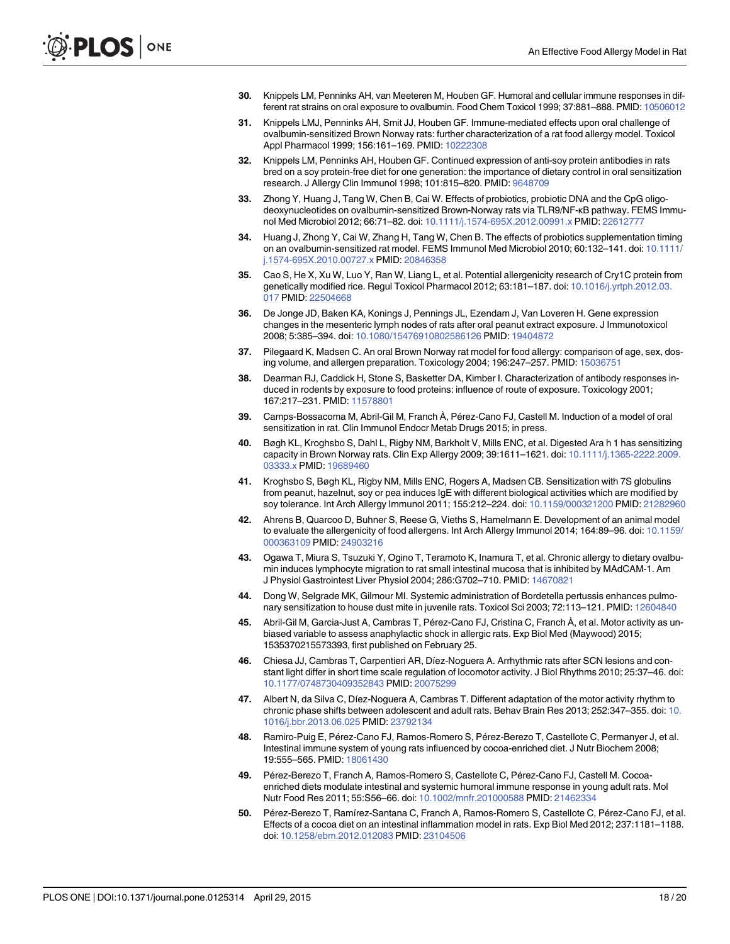- <span id="page-17-0"></span>[30.](#page-2-0) Knippels LM, Penninks AH, van Meeteren M, Houben GF. Humoral and cellular immune responses in different rat strains on oral exposure to ovalbumin. Food Chem Toxicol 1999; 37:881–888. PMID: [10506012](http://www.ncbi.nlm.nih.gov/pubmed/10506012)
- [31.](#page-2-0) Knippels LMJ, Penninks AH, Smit JJ, Houben GF. Immune-mediated effects upon oral challenge of ovalbumin-sensitized Brown Norway rats: further characterization of a rat food allergy model. Toxicol Appl Pharmacol 1999; 156:161–169. PMID: [10222308](http://www.ncbi.nlm.nih.gov/pubmed/10222308)
- [32.](#page-2-0) Knippels LM, Penninks AH, Houben GF. Continued expression of anti-soy protein antibodies in rats bred on a soy protein-free diet for one generation: the importance of dietary control in oral sensitization research. J Allergy Clin Immunol 1998; 101:815–820. PMID: [9648709](http://www.ncbi.nlm.nih.gov/pubmed/9648709)
- [33.](#page-2-0) Zhong Y, Huang J, Tang W, Chen B, Cai W. Effects of probiotics, probiotic DNA and the CpG oligodeoxynucleotides on ovalbumin-sensitized Brown-Norway rats via TLR9/NF-κB pathway. FEMS Immunol Med Microbiol 2012; 66:71–82. doi: [10.1111/j.1574-695X.2012.00991.x](http://dx.doi.org/10.1111/j.1574-695X.2012.00991.x) PMID: [22612777](http://www.ncbi.nlm.nih.gov/pubmed/22612777)
- [34.](#page-13-0) Huang J, Zhong Y, Cai W, Zhang H, Tang W, Chen B. The effects of probiotics supplementation timing on an ovalbumin-sensitized rat model. FEMS Immunol Med Microbiol 2010; 60:132–141. doi: [10.1111/](http://dx.doi.org/10.1111/j.1574-695X.2010.00727.x) [j.1574-695X.2010.00727.x](http://dx.doi.org/10.1111/j.1574-695X.2010.00727.x) PMID: [20846358](http://www.ncbi.nlm.nih.gov/pubmed/20846358)
- [35.](#page-15-0) Cao S, He X, Xu W, Luo Y, Ran W, Liang L, et al. Potential allergenicity research of Cry1C protein from genetically modified rice. Regul Toxicol Pharmacol 2012; 63:181-187. doi: [10.1016/j.yrtph.2012.03.](http://dx.doi.org/10.1016/j.yrtph.2012.03.017) [017](http://dx.doi.org/10.1016/j.yrtph.2012.03.017) PMID: [22504668](http://www.ncbi.nlm.nih.gov/pubmed/22504668)
- [36.](#page-2-0) De Jonge JD, Baken KA, Konings J, Pennings JL, Ezendam J, Van Loveren H. Gene expression changes in the mesenteric lymph nodes of rats after oral peanut extract exposure. J Immunotoxicol 2008; 5:385–394. doi: [10.1080/15476910802586126](http://dx.doi.org/10.1080/15476910802586126) PMID: [19404872](http://www.ncbi.nlm.nih.gov/pubmed/19404872)
- [37.](#page-2-0) Pilegaard K, Madsen C. An oral Brown Norway rat model for food allergy: comparison of age, sex, dosing volume, and allergen preparation. Toxicology 2004; 196:247–257. PMID: [15036751](http://www.ncbi.nlm.nih.gov/pubmed/15036751)
- [38.](#page-2-0) Dearman RJ, Caddick H, Stone S, Basketter DA, Kimber I. Characterization of antibody responses induced in rodents by exposure to food proteins: influence of route of exposure. Toxicology 2001; 167:217–231. PMID: [11578801](http://www.ncbi.nlm.nih.gov/pubmed/11578801)
- [39.](#page-2-0) Camps-Bossacoma M, Abril-Gil M, Franch À, Pérez-Cano FJ, Castell M. Induction of a model of oral sensitization in rat. Clin Immunol Endocr Metab Drugs 2015; in press.
- [40.](#page-2-0) Bøgh KL, Kroghsbo S, Dahl L, Rigby NM, Barkholt V, Mills ENC, et al. Digested Ara h 1 has sensitizing capacity in Brown Norway rats. Clin Exp Allergy 2009; 39:1611–1621. doi: [10.1111/j.1365-2222.2009.](http://dx.doi.org/10.1111/j.1365-2222.2009.03333.x) [03333.x](http://dx.doi.org/10.1111/j.1365-2222.2009.03333.x) PMID: [19689460](http://www.ncbi.nlm.nih.gov/pubmed/19689460)
- 41. Kroghsbo S, Bøgh KL, Rigby NM, Mills ENC, Rogers A, Madsen CB. Sensitization with 7S globulins from peanut, hazelnut, soy or pea induces IgE with different biological activities which are modified by soy tolerance. Int Arch Allergy Immunol 2011; 155:212–224. doi: [10.1159/000321200](http://dx.doi.org/10.1159/000321200) PMID: [21282960](http://www.ncbi.nlm.nih.gov/pubmed/21282960)
- [42.](#page-2-0) Ahrens B, Quarcoo D, Buhner S, Reese G, Vieths S, Hamelmann E. Development of an animal model to evaluate the allergenicity of food allergens. Int Arch Allergy Immunol 2014; 164:89-96. doi: [10.1159/](http://dx.doi.org/10.1159/000363109) [000363109](http://dx.doi.org/10.1159/000363109) PMID: [24903216](http://www.ncbi.nlm.nih.gov/pubmed/24903216)
- [43.](#page-2-0) Ogawa T, Miura S, Tsuzuki Y, Ogino T, Teramoto K, Inamura T, et al. Chronic allergy to dietary ovalbumin induces lymphocyte migration to rat small intestinal mucosa that is inhibited by MAdCAM-1. Am J Physiol Gastrointest Liver Physiol 2004; 286:G702–710. PMID: [14670821](http://www.ncbi.nlm.nih.gov/pubmed/14670821)
- [44.](#page-2-0) Dong W, Selgrade MK, Gilmour MI. Systemic administration of Bordetella pertussis enhances pulmonary sensitization to house dust mite in juvenile rats. Toxicol Sci 2003; 72:113–121. PMID: [12604840](http://www.ncbi.nlm.nih.gov/pubmed/12604840)
- [45.](#page-2-0) Abril-Gil M, Garcia-Just A, Cambras T, Pérez-Cano FJ, Cristina C, Franch À, et al. Motor activity as unbiased variable to assess anaphylactic shock in allergic rats. Exp Biol Med (Maywood) 2015; 1535370215573393, first published on February 25.
- [46.](#page-3-0) Chiesa JJ, Cambras T, Carpentieri AR, Díez-Noguera A. Arrhythmic rats after SCN lesions and constant light differ in short time scale regulation of locomotor activity. J Biol Rhythms 2010; 25:37–46. doi: [10.1177/0748730409352843](http://dx.doi.org/10.1177/0748730409352843) PMID: [20075299](http://www.ncbi.nlm.nih.gov/pubmed/20075299)
- [47.](#page-3-0) Albert N, da Silva C, Díez-Noguera A, Cambras T. Different adaptation of the motor activity rhythm to chronic phase shifts between adolescent and adult rats. Behav Brain Res 2013; 252:347–355. doi: [10.](http://dx.doi.org/10.1016/j.bbr.2013.06.025) [1016/j.bbr.2013.06.025](http://dx.doi.org/10.1016/j.bbr.2013.06.025) PMID: [23792134](http://www.ncbi.nlm.nih.gov/pubmed/23792134)
- [48.](#page-4-0) Ramiro-Puig E, Pérez-Cano FJ, Ramos-Romero S, Pérez-Berezo T, Castellote C, Permanyer J, et al. Intestinal immune system of young rats influenced by cocoa-enriched diet. J Nutr Biochem 2008; 19:555–565. PMID: [18061430](http://www.ncbi.nlm.nih.gov/pubmed/18061430)
- [49.](#page-4-0) Pérez-Berezo T, Franch A, Ramos-Romero S, Castellote C, Pérez-Cano FJ, Castell M. Cocoaenriched diets modulate intestinal and systemic humoral immune response in young adult rats. Mol Nutr Food Res 2011; 55:S56–66. doi: [10.1002/mnfr.201000588](http://dx.doi.org/10.1002/mnfr.201000588) PMID: [21462334](http://www.ncbi.nlm.nih.gov/pubmed/21462334)
- [50.](#page-4-0) Pérez-Berezo T, Ramírez-Santana C, Franch A, Ramos-Romero S, Castellote C, Pérez-Cano FJ, et al. Effects of a cocoa diet on an intestinal inflammation model in rats. Exp Biol Med 2012; 237:1181–1188. doi: [10.1258/ebm.2012.012083](http://dx.doi.org/10.1258/ebm.2012.012083) PMID: [23104506](http://www.ncbi.nlm.nih.gov/pubmed/23104506)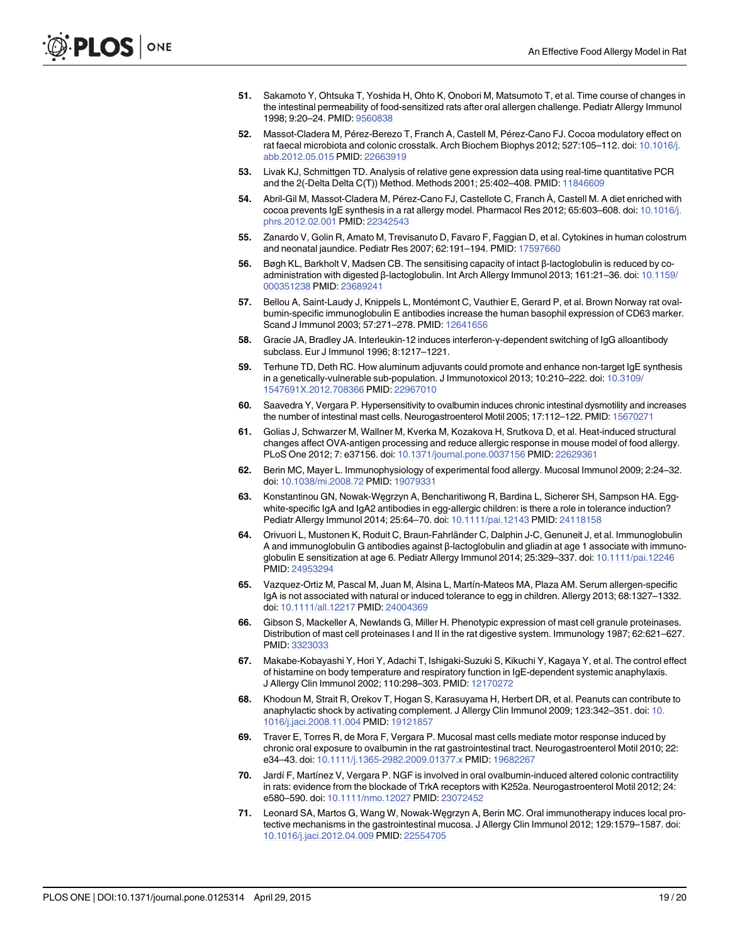- <span id="page-18-0"></span>[51.](#page-5-0) Sakamoto Y, Ohtsuka T, Yoshida H, Ohto K, Onobori M, Matsumoto T, et al. Time course of changes in the intestinal permeability of food-sensitized rats after oral allergen challenge. Pediatr Allergy Immunol 1998; 9:20–24. PMID: [9560838](http://www.ncbi.nlm.nih.gov/pubmed/9560838)
- [52.](#page-5-0) Massot-Cladera M, Pérez-Berezo T, Franch A, Castell M, Pérez-Cano FJ. Cocoa modulatory effect on rat faecal microbiota and colonic crosstalk. Arch Biochem Biophys 2012; 527:105–112. doi: [10.1016/j.](http://dx.doi.org/10.1016/j.abb.2012.05.015) [abb.2012.05.015](http://dx.doi.org/10.1016/j.abb.2012.05.015) PMID: [22663919](http://www.ncbi.nlm.nih.gov/pubmed/22663919)
- [53.](#page-5-0) Livak KJ, Schmittgen TD. Analysis of relative gene expression data using real-time quantitative PCR and the 2(-Delta Delta C(T)) Method. Methods 2001; 25:402-408. PMID: [11846609](http://www.ncbi.nlm.nih.gov/pubmed/11846609)
- [54.](#page-6-0) Abril-Gil M, Massot-Cladera M, Pérez-Cano FJ, Castellote C, Franch À, Castell M. A diet enriched with cocoa prevents IgE synthesis in a rat allergy model. Pharmacol Res 2012; 65:603–608. doi: [10.1016/j.](http://dx.doi.org/10.1016/j.phrs.2012.02.001) [phrs.2012.02.001](http://dx.doi.org/10.1016/j.phrs.2012.02.001) PMID: [22342543](http://www.ncbi.nlm.nih.gov/pubmed/22342543)
- [55.](#page-10-0) Zanardo V, Golin R, Amato M, Trevisanuto D, Favaro F, Faggian D, et al. Cytokines in human colostrum and neonatal jaundice. Pediatr Res 2007; 62:191–194. PMID: [17597660](http://www.ncbi.nlm.nih.gov/pubmed/17597660)
- [56.](#page-12-0) Bøgh KL, Barkholt V, Madsen CB. The sensitising capacity of intact β-lactoglobulin is reduced by coadministration with digested β-lactoglobulin. Int Arch Allergy Immunol 2013; 161:21–36. doi: [10.1159/](http://dx.doi.org/10.1159/000351238) [000351238](http://dx.doi.org/10.1159/000351238) PMID: [23689241](http://www.ncbi.nlm.nih.gov/pubmed/23689241)
- [57.](#page-12-0) Bellou A, Saint-Laudy J, Knippels L, Montémont C, Vauthier E, Gerard P, et al. Brown Norway rat ovalbumin-specific immunoglobulin E antibodies increase the human basophil expression of CD63 marker. Scand J Immunol 2003; 57:271–278. PMID: [12641656](http://www.ncbi.nlm.nih.gov/pubmed/12641656)
- [58.](#page-12-0) Gracie JA, Bradley JA. Interleukin-12 induces interferon-γ-dependent switching of IgG alloantibody subclass. Eur J Immunol 1996; 8:1217–1221.
- [59.](#page-13-0) Terhune TD, Deth RC. How aluminum adjuvants could promote and enhance non-target IgE synthesis in a genetically-vulnerable sub-population. J Immunotoxicol 2013; 10:210–222. doi: [10.3109/](http://dx.doi.org/10.3109/1547691X.2012.708366) [1547691X.2012.708366](http://dx.doi.org/10.3109/1547691X.2012.708366) PMID: [22967010](http://www.ncbi.nlm.nih.gov/pubmed/22967010)
- [60.](#page-13-0) Saavedra Y, Vergara P. Hypersensitivity to ovalbumin induces chronic intestinal dysmotility and increases the number of intestinal mast cells. Neurogastroenterol Motil 2005; 17:112–122. PMID: [15670271](http://www.ncbi.nlm.nih.gov/pubmed/15670271)
- [61.](#page-13-0) Golias J, Schwarzer M, Wallner M, Kverka M, Kozakova H, Srutkova D, et al. Heat-induced structural changes affect OVA-antigen processing and reduce allergic response in mouse model of food allergy. PLoS One 2012; 7: e37156. doi: [10.1371/journal.pone.0037156](http://dx.doi.org/10.1371/journal.pone.0037156) PMID: [22629361](http://www.ncbi.nlm.nih.gov/pubmed/22629361)
- [62.](#page-13-0) Berin MC, Mayer L. Immunophysiology of experimental food allergy. Mucosal Immunol 2009; 2:24–32. doi: [10.1038/mi.2008.72](http://dx.doi.org/10.1038/mi.2008.72) PMID: [19079331](http://www.ncbi.nlm.nih.gov/pubmed/19079331)
- [63.](#page-13-0) Konstantinou GN, Nowak-Węgrzyn A, Bencharitiwong R, Bardina L, Sicherer SH, Sampson HA. Eggwhite-specific IgA and IgA2 antibodies in egg-allergic children: is there a role in tolerance induction? Pediatr Allergy Immunol 2014; 25:64–70. doi: [10.1111/pai.12143](http://dx.doi.org/10.1111/pai.12143) PMID: [24118158](http://www.ncbi.nlm.nih.gov/pubmed/24118158)
- [64.](#page-13-0) Orivuori L, Mustonen K, Roduit C, Braun-Fahrländer C, Dalphin J-C, Genuneit J, et al. Immunoglobulin A and immunoglobulin G antibodies against β-lactoglobulin and gliadin at age 1 associate with immuno-globulin E sensitization at age 6. Pediatr Allergy Immunol 2014; 25:329-337. doi: [10.1111/pai.12246](http://dx.doi.org/10.1111/pai.12246) PMID: [24953294](http://www.ncbi.nlm.nih.gov/pubmed/24953294)
- [65.](#page-13-0) Vazquez-Ortiz M, Pascal M, Juan M, Alsina L, Martín-Mateos MA, Plaza AM. Serum allergen-specific IgA is not associated with natural or induced tolerance to egg in children. Allergy 2013; 68:1327–1332. doi: [10.1111/all.12217](http://dx.doi.org/10.1111/all.12217) PMID: [24004369](http://www.ncbi.nlm.nih.gov/pubmed/24004369)
- [66.](#page-13-0) Gibson S, Mackeller A, Newlands G, Miller H. Phenotypic expression of mast cell granule proteinases. Distribution of mast cell proteinases I and II in the rat digestive system. Immunology 1987; 62:621–627. PMID: [3323033](http://www.ncbi.nlm.nih.gov/pubmed/3323033)
- [67.](#page-13-0) Makabe-Kobayashi Y, Hori Y, Adachi T, Ishigaki-Suzuki S, Kikuchi Y, Kagaya Y, et al. The control effect of histamine on body temperature and respiratory function in IgE-dependent systemic anaphylaxis. J Allergy Clin Immunol 2002; 110:298–303. PMID: [12170272](http://www.ncbi.nlm.nih.gov/pubmed/12170272)
- [68.](#page-13-0) Khodoun M, Strait R, Orekov T, Hogan S, Karasuyama H, Herbert DR, et al. Peanuts can contribute to anaphylactic shock by activating complement. J Allergy Clin Immunol 2009; 123:342–351. doi: [10.](http://dx.doi.org/10.1016/j.jaci.2008.11.004) [1016/j.jaci.2008.11.004](http://dx.doi.org/10.1016/j.jaci.2008.11.004) PMID: [19121857](http://www.ncbi.nlm.nih.gov/pubmed/19121857)
- [69.](#page-13-0) Traver E, Torres R, de Mora F, Vergara P. Mucosal mast cells mediate motor response induced by chronic oral exposure to ovalbumin in the rat gastrointestinal tract. Neurogastroenterol Motil 2010; 22: e34–43. doi: [10.1111/j.1365-2982.2009.01377.x](http://dx.doi.org/10.1111/j.1365-2982.2009.01377.x) PMID: [19682267](http://www.ncbi.nlm.nih.gov/pubmed/19682267)
- [70.](#page-13-0) Jardí F, Martínez V, Vergara P. NGF is involved in oral ovalbumin-induced altered colonic contractility in rats: evidence from the blockade of TrkA receptors with K252a. Neurogastroenterol Motil 2012; 24: e580–590. doi: [10.1111/nmo.12027](http://dx.doi.org/10.1111/nmo.12027) PMID: [23072452](http://www.ncbi.nlm.nih.gov/pubmed/23072452)
- [71.](#page-14-0) Leonard SA, Martos G, Wang W, Nowak-Węgrzyn A, Berin MC. Oral immunotherapy induces local protective mechanisms in the gastrointestinal mucosa. J Allergy Clin Immunol 2012; 129:1579–1587. doi: [10.1016/j.jaci.2012.04.009](http://dx.doi.org/10.1016/j.jaci.2012.04.009) PMID: [22554705](http://www.ncbi.nlm.nih.gov/pubmed/22554705)